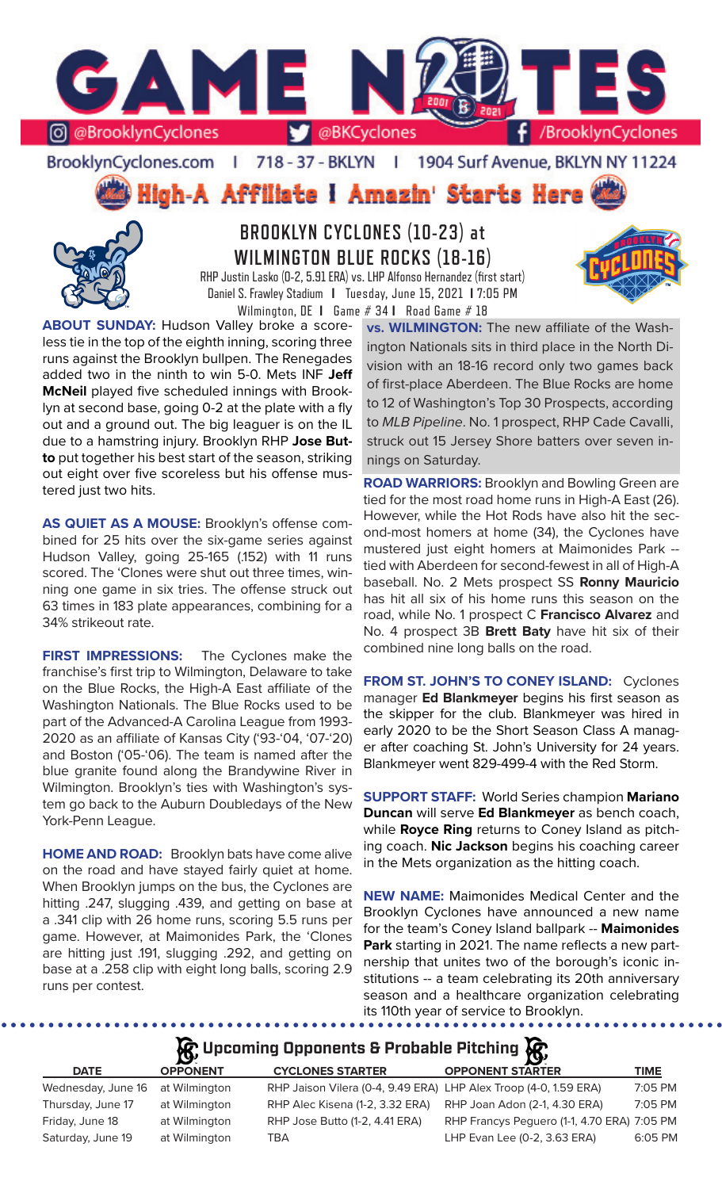

BrooklynCyclones.com | 718 - 37 - BKLYN - 11 1904 Surf Avenue, BKLYN NY 11224

High-A Affiliate I Amazin' Starts Here



**BROOKLYN CYCLONES (10-23) at WILMINGTON BLUE ROCKS (18-16)**

RHP Justin Lasko (0-2, 5.91 ERA) vs. LHP Alfonso Hernandez (first start) Daniel S. Frawley Stadium **I** Tuesday, June 15, 2021 **I** 7:05 PM Wilmington, DE **I** Game # 34 **I** Road Game # 18

**ABOUT SUNDAY:** Hudson Valley broke a scoreless tie in the top of the eighth inning, scoring three runs against the Brooklyn bullpen. The Renegades added two in the ninth to win 5-0. Mets INF **Jeff McNeil** played five scheduled innings with Brooklyn at second base, going 0-2 at the plate with a fly out and a ground out. The big leaguer is on the IL due to a hamstring injury. Brooklyn RHP **Jose Butto** put together his best start of the season, striking out eight over five scoreless but his offense mustered just two hits.

**AS QUIET AS A MOUSE:** Brooklyn's offense combined for 25 hits over the six-game series against Hudson Valley, going 25-165 (.152) with 11 runs scored. The 'Clones were shut out three times, winning one game in six tries. The offense struck out 63 times in 183 plate appearances, combining for a 34% strikeout rate.

**FIRST IMPRESSIONS:** The Cyclones make the franchise's first trip to Wilmington, Delaware to take on the Blue Rocks, the High-A East affiliate of the Washington Nationals. The Blue Rocks used to be part of the Advanced-A Carolina League from 1993- 2020 as an affiliate of Kansas City ('93-'04, '07-'20) and Boston ('05-'06). The team is named after the blue granite found along the Brandywine River in Wilmington. Brooklyn's ties with Washington's system go back to the Auburn Doubledays of the New York-Penn League.

**HOME AND ROAD:** Brooklyn bats have come alive on the road and have stayed fairly quiet at home. When Brooklyn jumps on the bus, the Cyclones are hitting .247, slugging .439, and getting on base at a .341 clip with 26 home runs, scoring 5.5 runs per game. However, at Maimonides Park, the 'Clones are hitting just .191, slugging .292, and getting on base at a .258 clip with eight long balls, scoring 2.9 runs per contest.

**vs. WILMINGTON:** The new affiliate of the Washington Nationals sits in third place in the North Division with an 18-16 record only two games back of first-place Aberdeen. The Blue Rocks are home to 12 of Washington's Top 30 Prospects, according to *MLB Pipeline*. No. 1 prospect, RHP Cade Cavalli, struck out 15 Jersey Shore batters over seven innings on Saturday.

**ROAD WARRIORS:** Brooklyn and Bowling Green are tied for the most road home runs in High-A East (26). However, while the Hot Rods have also hit the second-most homers at home (34), the Cyclones have mustered just eight homers at Maimonides Park - tied with Aberdeen for second-fewest in all of High-A baseball. No. 2 Mets prospect SS **Ronny Mauricio** has hit all six of his home runs this season on the road, while No. 1 prospect C **Francisco Alvarez** and No. 4 prospect 3B **Brett Baty** have hit six of their combined nine long balls on the road.

**FROM ST. JOHN'S TO CONEY ISLAND:** Cyclones manager **Ed Blankmeyer** begins his first season as the skipper for the club. Blankmeyer was hired in early 2020 to be the Short Season Class A manager after coaching St. John's University for 24 years. Blankmeyer went 829-499-4 with the Red Storm.

**SUPPORT STAFF:** World Series champion **Mariano Duncan** will serve **Ed Blankmeyer** as bench coach, while **Royce Ring** returns to Coney Island as pitching coach. **Nic Jackson** begins his coaching career in the Mets organization as the hitting coach.

**NEW NAME:** Maimonides Medical Center and the Brooklyn Cyclones have announced a new name for the team's Coney Island ballpark -- **Maimonides Park** starting in 2021. The name reflects a new partnership that unites two of the borough's iconic institutions -- a team celebrating its 20th anniversary season and a healthcare organization celebrating its 110th year of service to Brooklyn.

# **R** Upcoming Opponents & Probable Pitching **R**

| <b>DATE</b>        | <b>OPPONENT</b> | <b>CYCLONES STARTER</b>                                          | <b>OPPONENT STARTER</b>                     | <b>TIME</b> |
|--------------------|-----------------|------------------------------------------------------------------|---------------------------------------------|-------------|
| Wednesday, June 16 | at Wilmington   | RHP Jaison Vilera (0-4, 9.49 ERA) LHP Alex Troop (4-0, 1.59 ERA) |                                             | 7:05 PM     |
| Thursday, June 17  | at Wilmington   | RHP Alec Kisena (1-2, 3.32 ERA)                                  | RHP Joan Adon (2-1, 4.30 ERA)               | 7:05 PM     |
| Friday, June 18    | at Wilmington   | RHP Jose Butto (1-2, 4.41 ERA)                                   | RHP Francys Peguero (1-1, 4.70 ERA) 7:05 PM |             |
| Saturday, June 19  | at Wilmington   | TBA                                                              | LHP Evan Lee (0-2, 3.63 ERA)                | 6:05 PM     |
|                    |                 |                                                                  |                                             |             |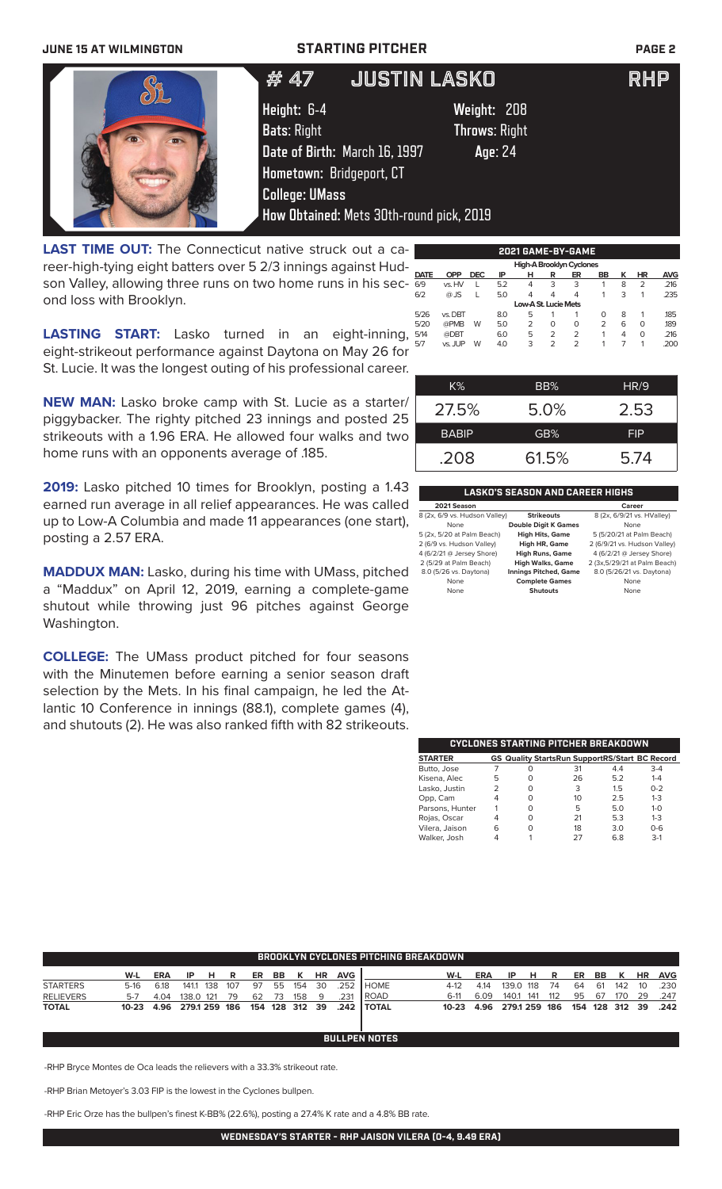### **JUNE 15 AT WILMINGTON STARTING PITCHER PAGE 2**

|                                                               | JUSTIN LASKO<br># 47                                                                                                                                                |                                                | <b>RHP</b> |
|---------------------------------------------------------------|---------------------------------------------------------------------------------------------------------------------------------------------------------------------|------------------------------------------------|------------|
|                                                               | Height: 6-4<br><b>Bats: Right</b><br>Date of Birth: March 16, 1997<br>Hometown: Bridgeport, CT<br><b>College: UMass</b><br>How Obtained: Mets 30th-round pick, 2019 | Weight: 208<br><b>Throws: Right</b><br>Age: 24 |            |
| <b>LAST TIME OUT:</b> The Connecticut native struck out a ca- |                                                                                                                                                                     | 2021 GAME-BY-GAME                              |            |

reer-high-tying eight batters over 5 2/3 innings against Hudson Valley, allowing three runs on two home runs in his second loss with Brooklyn.

**LASTING START:** Lasko turned in an eight-inning, eight-strikeout performance against Daytona on May 26 for St. Lucie. It was the longest outing of his professional career.

**NEW MAN:** Lasko broke camp with St. Lucie as a starter/ piggybacker. The righty pitched 23 innings and posted 25 strikeouts with a 1.96 ERA. He allowed four walks and two home runs with an opponents average of .185.

**2019:** Lasko pitched 10 times for Brooklyn, posting a 1.43 earned run average in all relief appearances. He was called up to Low-A Columbia and made 11 appearances (one start), posting a 2.57 ERA.

**MADDUX MAN:** Lasko, during his time with UMass, pitched a "Maddux" on April 12, 2019, earning a complete-game shutout while throwing just 96 pitches against George Washington.

**COLLEGE:** The UMass product pitched for four seasons with the Minutemen before earning a senior season draft selection by the Mets. In his final campaign, he led the Atlantic 10 Conference in innings (88.1), complete games (4), and shutouts (2). He was also ranked fifth with 82 strikeouts.

|             |            |            |     |                      |                | High-A Brooklyn Cyclones |                |   |                |            |
|-------------|------------|------------|-----|----------------------|----------------|--------------------------|----------------|---|----------------|------------|
| <b>DATE</b> | <b>OPP</b> | <b>DEC</b> | IP  | н                    | R              | ER                       | BB             | κ | HR             | <b>AVG</b> |
| 6/9         | vs. HV     |            | 5.2 | 4                    | 3              | 3                        | 1              | 8 | $\overline{2}$ | .216       |
| 6/2         | $@$ JS     | L          | 5.0 | 4                    | 4              | 4                        | 1              | 3 | 1              | .235       |
|             |            |            |     | Low-A St. Lucie Mets |                |                          |                |   |                |            |
| 5/26        | vs. DBT    |            | 8.0 | 5                    |                |                          | O              | 8 | 1              | .185       |
| 5/20        | @PMB       | W          | 5.0 | $\overline{2}$       | O              | 0                        | $\overline{2}$ | 6 | 0              | .189       |
| 5/14        | @DBT       |            | 6.0 | 5                    | $\overline{2}$ | 2                        | 1              | 4 | 0              | .216       |
| 5/7         | vs. JUP    | W          | 4.0 | 3                    | $\overline{2}$ | $\overline{2}$           | 1              | 7 | 1              | .200       |
|             |            |            |     |                      |                |                          |                |   |                |            |
|             |            |            |     |                      |                |                          |                |   |                |            |
|             |            |            |     |                      |                |                          |                |   |                |            |
|             | K%         |            |     |                      | BB%            |                          |                |   | HR/9           |            |

| $K\%$        | BB%   | HR/9       |
|--------------|-------|------------|
| 27.5%        | 5.0%  | 2.53       |
| <b>BABIP</b> | GB%   | <b>FIP</b> |
| .208         | 61.5% | 5.74       |

### **LASKO'S SEASON AND CAREER HIGHS**

| 2021 Season                   |                              | Career                       |
|-------------------------------|------------------------------|------------------------------|
| 8 (2x, 6/9 vs. Hudson Valley) | <b>Strikeouts</b>            | 8 (2x, 6/9/21 vs. HValley)   |
| None                          | <b>Double Digit K Games</b>  | None                         |
| 5 (2x, 5/20 at Palm Beach)    | <b>High Hits, Game</b>       | 5 (5/20/21 at Palm Beach)    |
| 2 (6/9 vs. Hudson Valley)     | High HR, Game                | 2 (6/9/21 vs. Hudson Valley) |
| 4 (6/2/21 @ Jersey Shore)     | <b>High Runs, Game</b>       | 4 (6/2/21 @ Jersey Shore)    |
| 2 (5/29 at Palm Beach)        | <b>High Walks, Game</b>      | 2 (3x,5/29/21 at Palm Beach) |
| 8.0 (5/26 vs. Daytona)        | <b>Innings Pitched, Game</b> | 8.0 (5/26/21 vs. Daytona)    |
| None                          | <b>Complete Games</b>        | None                         |
| None                          | Shutouts                     | None                         |

| CYCLONES STARTING PITCHER BREAKDOWN |   |   |                                                       |     |         |  |  |  |  |  |
|-------------------------------------|---|---|-------------------------------------------------------|-----|---------|--|--|--|--|--|
| <b>STARTER</b>                      |   |   | <b>GS Quality StartsRun SupportRS/Start BC Record</b> |     |         |  |  |  |  |  |
| Butto, Jose                         |   | Ω | 31                                                    | 4.4 | $3 - 4$ |  |  |  |  |  |
| Kisena, Alec                        | 5 | O | 26                                                    | 5.2 | $1 - 4$ |  |  |  |  |  |
| Lasko, Justin                       |   | O | 3                                                     | 15  | $0 - 2$ |  |  |  |  |  |
| Opp, Cam                            |   | ∩ | 10                                                    | 2.5 | $1 - 3$ |  |  |  |  |  |
| Parsons, Hunter                     |   | O | 5                                                     | 5.0 | $1 - 0$ |  |  |  |  |  |
| Rojas, Oscar                        |   | O | 21                                                    | 5.3 | $1 - 3$ |  |  |  |  |  |
| Vilera, Jaison                      | 6 |   | 18                                                    | 3.0 | $0 - 6$ |  |  |  |  |  |
| Walker, Josh                        |   |   | 27                                                    | 68  | $3-1$   |  |  |  |  |  |

| BROOKLYN CYCLONES PITCHING BREAKDOWN |            |            |               |     |     |    |     |                |           |            |               |            |      |               |       |     |    |     |                |           |            |
|--------------------------------------|------------|------------|---------------|-----|-----|----|-----|----------------|-----------|------------|---------------|------------|------|---------------|-------|-----|----|-----|----------------|-----------|------------|
|                                      | W-L        | <b>ERA</b> | IP.           | - н | R   | ER | BB  | K              | <b>HR</b> | <b>AVG</b> |               | W-L        | ERA  | IP.           | н     | R   | ER | BB  | K              | <b>HR</b> | <b>AVG</b> |
| <b>STARTERS</b>                      | 5-16       | 6.18       | 141.1 138     |     | 107 | 97 | 55  | - 154          | 30        | .252       | <b>I</b> HOME | 4-12       | 4.14 | 139.0 118     |       | 74  | 64 | -61 | 142            | 10        | .230       |
| <b>RELIEVERS</b>                     | $5 - 7$    | 4.04       | 138.0 121     |     | 79  | 62 | -73 | 158            | - 9       | .231       | l ROAD        | 6-11       | 6.09 | 140.1         | - 141 | 112 | 95 | 67  | 170            | 29        | .247       |
| <b>TOTAL</b>                         | 10-23 4.96 |            | 279.1 259 186 |     |     |    |     | 154 128 312 39 |           |            | .242 I TOTAL  | 10-23 4.96 |      | 279.1 259 186 |       |     |    |     | 154 128 312 39 |           | .242       |
|                                      |            |            |               |     |     |    |     |                |           |            |               |            |      |               |       |     |    |     |                |           |            |

**BULLPEN NOTES**

-RHP Bryce Montes de Oca leads the relievers with a 33.3% strikeout rate.

-RHP Brian Metoyer's 3.03 FIP is the lowest in the Cyclones bullpen.

-RHP Eric Orze has the bullpen's finest K-BB% (22.6%), posting a 27.4% K rate and a 4.8% BB rate.

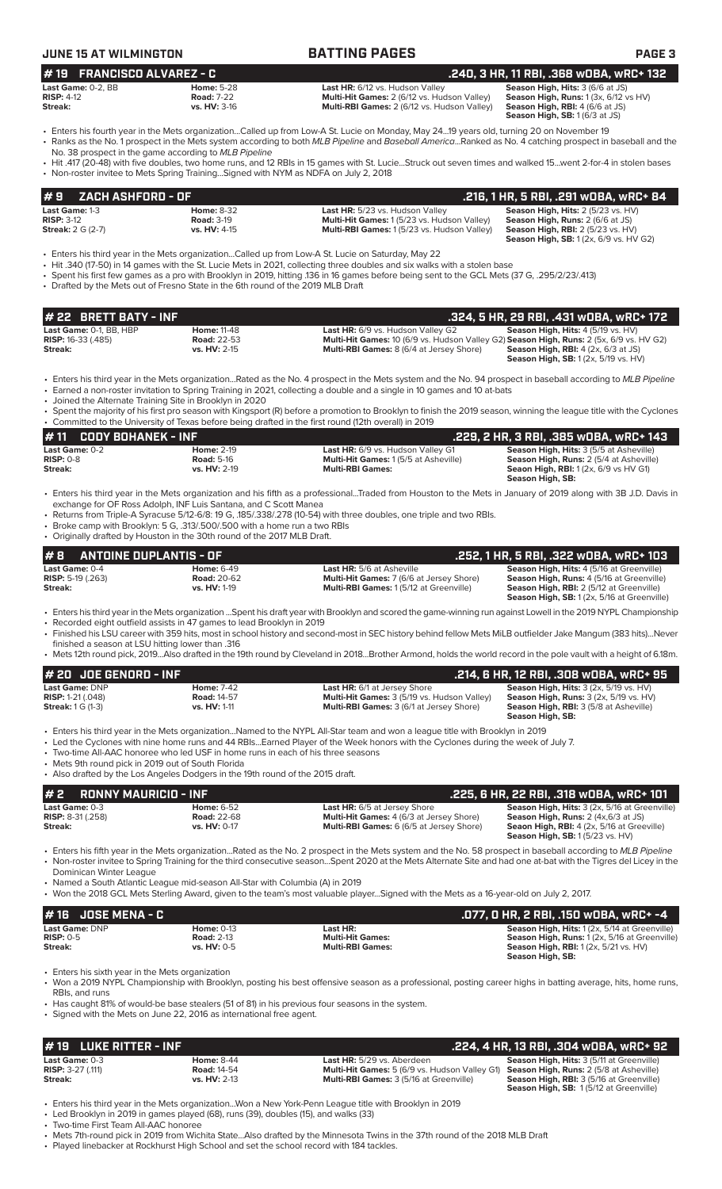| <b>JUNE 15 AT WILMINGTON</b>                                                                                                                                                                                               |                                                          | <b>BATTING PAGES</b>                                                                                                                                                                                                                                                                                                                                                             | <b>PAGE 3</b>                                                                                                                                                                     |
|----------------------------------------------------------------------------------------------------------------------------------------------------------------------------------------------------------------------------|----------------------------------------------------------|----------------------------------------------------------------------------------------------------------------------------------------------------------------------------------------------------------------------------------------------------------------------------------------------------------------------------------------------------------------------------------|-----------------------------------------------------------------------------------------------------------------------------------------------------------------------------------|
| <b>FRANCISCO ALVAREZ - C</b><br>#19                                                                                                                                                                                        |                                                          |                                                                                                                                                                                                                                                                                                                                                                                  | .240, 3 HR, 11 RBI, .368 wOBA, wRC+ 132                                                                                                                                           |
| Last Game: 0-2, BB<br><b>RISP: 4-12</b><br>Streak:                                                                                                                                                                         | <b>Home: 5-28</b><br><b>Road: 7-22</b><br>vs. HV: 3-16   | Last HR: 6/12 vs. Hudson Valley<br>Multi-Hit Games: 2 (6/12 vs. Hudson Valley)<br>Multi-RBI Games: 2 (6/12 vs. Hudson Valley)                                                                                                                                                                                                                                                    | Season High, Hits: 3 (6/6 at JS)<br>Season High, Runs: 1 (3x, 6/12 vs HV)<br>Season High, RBI: 4 (6/6 at JS)<br>Season High, SB: 1 (6/3 at JS)                                    |
| No. 38 prospect in the game according to MLB Pipeline                                                                                                                                                                      |                                                          | • Enters his fourth year in the Mets organizationCalled up from Low-A St. Lucie on Monday, May 2419 years old, turning 20 on November 19<br>· Ranks as the No. 1 prospect in the Mets system according to both MLB Pipeline and Baseball AmericaRanked as No. 4 catching prospect in baseball and the                                                                            |                                                                                                                                                                                   |
| • Non-roster invitee to Mets Spring Training Signed with NYM as NDFA on July 2, 2018                                                                                                                                       |                                                          | • Hit .417 (20-48) with five doubles, two home runs, and 12 RBIs in 15 games with St. LucieStruck out seven times and walked 15went 2-for-4 in stolen bases                                                                                                                                                                                                                      |                                                                                                                                                                                   |
| ZACH ASHFORD - OF<br>#9                                                                                                                                                                                                    |                                                          |                                                                                                                                                                                                                                                                                                                                                                                  | .216, 1 HR, 5 RBI, .291 wOBA, wRC+ 84                                                                                                                                             |
| Last Game: 1-3<br><b>RISP: 3-12</b><br><b>Streak:</b> 2 G (2-7)                                                                                                                                                            | <b>Home: 8-32</b><br><b>Road: 3-19</b><br>vs. HV: 4-15   | Last HR: 5/23 vs. Hudson Valley<br>Multi-Hit Games: 1 (5/23 vs. Hudson Valley)<br>Multi-RBI Games: 1 (5/23 vs. Hudson Valley)                                                                                                                                                                                                                                                    | Season High, Hits: 2 (5/23 vs. HV)<br>Season High, Runs: 2 (6/6 at JS)<br>Season High, RBI: 2 (5/23 vs. HV)<br><b>Season High, SB:</b> 1 (2x, 6/9 vs. HV G2)                      |
| • Drafted by the Mets out of Fresno State in the 6th round of the 2019 MLB Draft                                                                                                                                           |                                                          | · Enters his third year in the Mets organizationCalled up from Low-A St. Lucie on Saturday, May 22<br>• Hit .340 (17-50) in 14 games with the St. Lucie Mets in 2021, collecting three doubles and six walks with a stolen base<br>· Spent his first few games as a pro with Brooklyn in 2019, hitting .136 in 16 games before being sent to the GCL Mets (37 G, .295/2/23/.413) |                                                                                                                                                                                   |
| # 22 BRETT BATY - INF                                                                                                                                                                                                      |                                                          |                                                                                                                                                                                                                                                                                                                                                                                  | .324, 5 HR, 29 RBI, .431 wOBA, wRC+ 172                                                                                                                                           |
| Last Game: 0-1, BB, HBP<br><b>RISP: 16-33 (.485)</b><br>Streak:                                                                                                                                                            | <b>Home: 11-48</b><br><b>Road: 22-53</b><br>vs. HV: 2-15 | Last HR: 6/9 vs. Hudson Valley G2<br>Multi-Hit Games: 10 (6/9 vs. Hudson Valley G2) Season High, Runs: 2 (5x, 6/9 vs. HV G2)<br>Multi-RBI Games: 8 (6/4 at Jersey Shore)                                                                                                                                                                                                         | Season High, Hits: 4 (5/19 vs. HV)<br><b>Season High, RBI: 4 (2x, 6/3 at JS)</b><br>Season High, SB: 1 (2x, 5/19 vs. HV)                                                          |
| • Joined the Alternate Training Site in Brooklyn in 2020                                                                                                                                                                   |                                                          | • Enters his third year in the Mets organizationRated as the No. 4 prospect in the Mets system and the No. 94 prospect in baseball according to MLB Pipeline<br>• Earned a non-roster invitation to Spring Training in 2021, collecting a double and a single in 10 games and 10 at-bats                                                                                         |                                                                                                                                                                                   |
|                                                                                                                                                                                                                            |                                                          | Spent the majority of his first pro season with Kingsport (R) before a promotion to Brooklyn to finish the 2019 season, winning the league title with the Cyclones<br>Committed to the University of Texas before being drafted in the first round (12th overall) in 2019                                                                                                        |                                                                                                                                                                                   |
| <b>CODY BOHANEK - INF</b><br>#11<br>Last Game: 0-2                                                                                                                                                                         | <b>Home: 2-19</b>                                        | Last HR: 6/9 vs. Hudson Valley G1                                                                                                                                                                                                                                                                                                                                                | .229, 2 HR, 3 RBI, .385 WOBA, WRC+ 143<br>Season High, Hits: 3 (5/5 at Asheville)                                                                                                 |
| <b>RISP: 0-8</b><br>Streak:                                                                                                                                                                                                | <b>Road: 5-16</b><br>vs. HV: 2-19                        | Multi-Hit Games: 1 (5/5 at Asheville)<br><b>Multi-RBI Games:</b>                                                                                                                                                                                                                                                                                                                 | Season High, Runs: 2 (5/4 at Asheville)<br><b>Seaon High, RBI:</b> 1 (2x, 6/9 vs HV G1)<br>Season High, SB:                                                                       |
| exchange for OF Ross Adolph, INF Luis Santana, and C Scott Manea<br>• Broke camp with Brooklyn: 5 G, .313/.500/.500 with a home run a two RBIs<br>• Originally drafted by Houston in the 30th round of the 2017 MLB Draft. |                                                          | • Returns from Triple-A Syracuse 5/12-6/8: 19 G, 185/.338/.278 (10-54) with three doubles, one triple and two RBIs.                                                                                                                                                                                                                                                              |                                                                                                                                                                                   |
| #8<br><b>ANTOINE DUPLANTIS - OF</b>                                                                                                                                                                                        |                                                          |                                                                                                                                                                                                                                                                                                                                                                                  | .252, 1 HR, 5 RBI, .322 wOBA, wRC+ 103                                                                                                                                            |
| Last Game: 0-4<br><b>RISP:</b> 5-19 (.263)<br>Streak:                                                                                                                                                                      | Home: 6-49<br><b>Road: 20-62</b><br>vs. HV: 1-19         | Last HR: 5/6 at Asheville<br>Multi-Hit Games: 7 (6/6 at Jersey Shore)<br>Multi-RBI Games: 1(5/12 at Greenville)                                                                                                                                                                                                                                                                  | Season High, Hits: 4 (5/16 at Greenville)<br>Season High, Runs: 4 (5/16 at Greenville)<br>Season High, RBI: 2 (5/12 at Greenville)<br>Season High, SB: 1 (2x, 5/16 at Greenville) |
| • Recorded eight outfield assists in 47 games to lead Brooklyn in 2019<br>finished a season at LSU hitting lower than .316                                                                                                 |                                                          | • Enters his third year in the Mets organization Spent his draft year with Brooklyn and scored the game-winning run against Lowell in the 2019 NYPL Championship<br>• Finished his LSU career with 359 hits, most in school history and second-most in SEC history behind fellow Mets MiLB outfielder Jake Mangum (383 hits)Never                                                |                                                                                                                                                                                   |
|                                                                                                                                                                                                                            |                                                          | • Mets 12th round pick, 2019Also drafted in the 19th round by Cleveland in 2018Brother Armond, holds the world record in the pole vault with a height of 6.18m.                                                                                                                                                                                                                  |                                                                                                                                                                                   |
| # 20 JOE GENORD - INF<br>Last Game: DNP                                                                                                                                                                                    | <b>Home: 7-42</b>                                        | <b>Last HR:</b> 6/1 at Jersey Shore                                                                                                                                                                                                                                                                                                                                              | .214, 6 HR, 12 RBI, .308 wOBA, wRC+ 95<br>Season High, Hits: 3 (2x, 5/19 vs. HV)                                                                                                  |
| RISP: 1-21 (.048)<br><b>Streak:</b> 1 G (1-3)                                                                                                                                                                              | <b>Road: 14-57</b><br>vs. HV: 1-11                       | Multi-Hit Games: 3 (5/19 vs. Hudson Valley)<br>Multi-RBI Games: 3 (6/1 at Jersey Shore)                                                                                                                                                                                                                                                                                          | Season High, Runs: 3 (2x, 5/19 vs. HV)<br>Season High, RBI: 3 (5/8 at Asheville)<br>Season High, SB:                                                                              |
| • Two-time All-AAC honoree who led USF in home runs in each of his three seasons<br>• Mets 9th round pick in 2019 out of South Florida                                                                                     |                                                          | • Enters his third year in the Mets organization…Named to the NYPL All-Star team and won a league title with Brooklyn in 2019<br>• Led the Cyclones with nine home runs and 44 RBIsEarned Player of the Week honors with the Cyclones during the week of July 7.                                                                                                                 |                                                                                                                                                                                   |
| • Also drafted by the Los Angeles Dodgers in the 19th round of the 2015 draft.<br><b>RONNY MAURICIO - INF</b><br>#2                                                                                                        |                                                          |                                                                                                                                                                                                                                                                                                                                                                                  | .225, 6 HR, 22 RBI, .318 wOBA, wRC+ 101                                                                                                                                           |
| Last Game: 0-3                                                                                                                                                                                                             | Home: 6-52                                               | Last HR: 6/5 at Jersey Shore                                                                                                                                                                                                                                                                                                                                                     | Season High, Hits: 3 (2x, 5/16 at Greenville)                                                                                                                                     |
| RISP: 8-31 (.258)<br>Streak:                                                                                                                                                                                               | <b>Road: 22-68</b><br>vs. HV: 0-17                       | Multi-Hit Games: 4 (6/3 at Jersey Shore)<br>Multi-RBI Games: 6 (6/5 at Jersey Shore)                                                                                                                                                                                                                                                                                             | Season High, Runs: 2 (4x, 6/3 at JS)<br>Seaon High, RBI: 4 (2x, 5/16 at Greeville)<br><b>Season High, SB: 1 (5/23 vs. HV)</b>                                                     |
| Dominican Winter League<br>• Named a South Atlantic League mid-season All-Star with Columbia (A) in 2019                                                                                                                   |                                                          | • Enters his fifth year in the Mets organizationRated as the No. 2 prospect in the Mets system and the No. 58 prospect in baseball according to MLB Pipeline<br>• Non-roster invitee to Spring Training for the third consecutive seasonSpent 2020 at the Mets Alternate Site and had one at-bat with the Tigres del Licey in the                                                |                                                                                                                                                                                   |
|                                                                                                                                                                                                                            |                                                          | • Won the 2018 GCL Mets Sterling Award, given to the team's most valuable playerSigned with the Mets as a 16-year-old on July 2, 2017.                                                                                                                                                                                                                                           |                                                                                                                                                                                   |
| <b>JOSE MENA - C</b><br># 16<br>Last Game: DNP                                                                                                                                                                             | <b>Home: 0-13</b>                                        | Last HR:                                                                                                                                                                                                                                                                                                                                                                         | .077, 0 HR, 2 RBI, .150 w0BA, wRC+ -4<br>Season High, Hits: 1 (2x, 5/14 at Greenville)                                                                                            |
| $RISP: 0-5$<br>Streak:                                                                                                                                                                                                     | <b>Road: 2-13</b><br>vs. HV: 0-5                         | <b>Multi-Hit Games:</b><br><b>Multi-RBI Games:</b>                                                                                                                                                                                                                                                                                                                               | Season High, Runs: 1 (2x, 5/16 at Greenville)<br><b>Season High, RBI:</b> 1 (2x, 5/21 vs. HV)<br>Season High, SB:                                                                 |
| • Enters his sixth year in the Mets organization<br>RBIs, and runs                                                                                                                                                         |                                                          | • Won a 2019 NYPL Championship with Brooklyn, posting his best offensive season as a professional, posting career highs in batting average, hits, home runs,                                                                                                                                                                                                                     |                                                                                                                                                                                   |
| • Signed with the Mets on June 22, 2016 as international free agent.                                                                                                                                                       |                                                          | • Has caught 81% of would-be base stealers (51 of 81) in his previous four seasons in the system.                                                                                                                                                                                                                                                                                |                                                                                                                                                                                   |
|                                                                                                                                                                                                                            | <b>LUKE RITTER - INF</b>                                 | .224, 4 HR, 13 RBI, .304 WOBA, WRC+ 92                                                                                                                                                                                                                                                                                                                                           |                                                                                                                                                                                   |

• Enters his third year in the Mets organization...Won a New York-Penn League title with Brooklyn in 2019

• Led Brooklyn in 2019 in games played (68), runs (39), doubles (15), and walks (33)

• Two-time First Team All-AAC honoree

• Mets 7th-round pick in 2019 from Wichita State...Also drafted by the Minnesota Twins in the 37th round of the 2018 MLB Draft • Played linebacker at Rockhurst High School and set the school record with 184 tackles.

**Last Game:** 0-3 **Home:** 8-44 **Last HR:** 5/29 vs. Aberdeen **Season High, Hits:** 3 (5/11 at Greenville) **RISP:** 3-27 (.111) **Road:** 14-54 **Multi-Hit Games:** 5 (6/9 vs. Hudson Valley G1) **Season High, Runs:** 2 (5/8 at Asheville) **Streak: vs. HV:** 2-13 **Multi-RBI Games:** 3 (5/16 at Greenville) **Season High, RBI:** 3 (5/16 at Greenville) **Season High, SB:** 1 (5/12 at Greenville)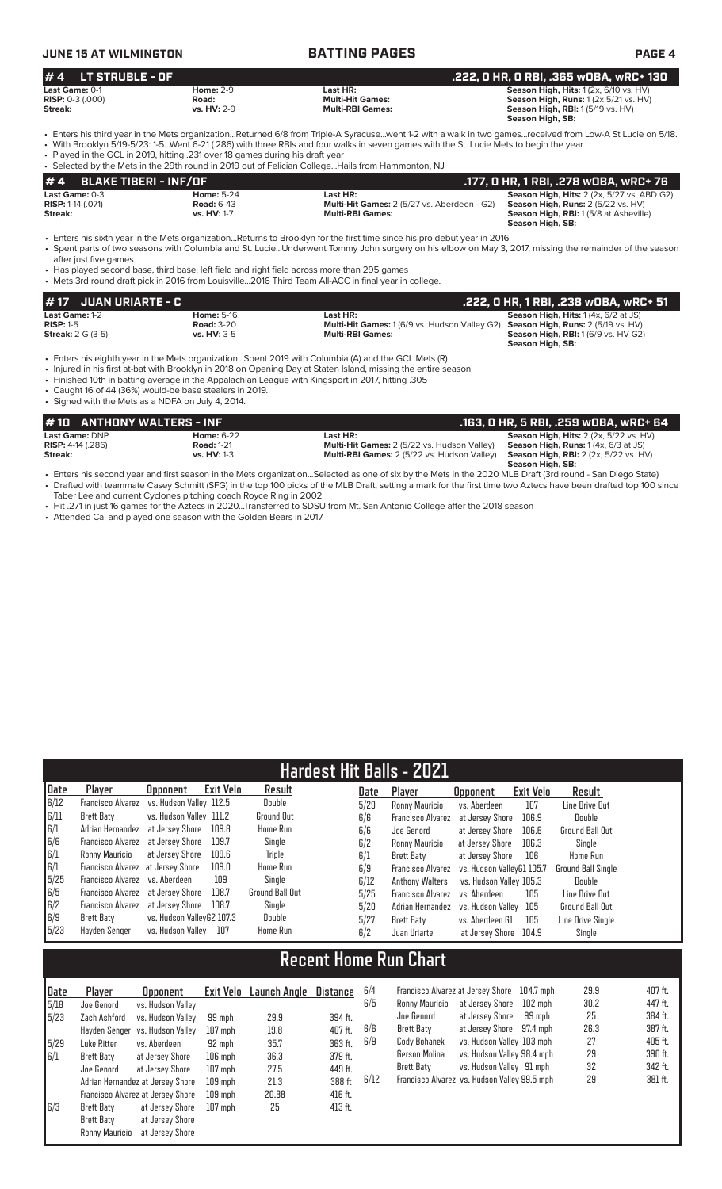# **JUNE 15 AT WILMINGTON BATTING PAGES PAGE 4**

| $# 4$ LT STRUBLE - OF     |                  |                         | .222. O HR. O RBI. .365 wOBA. wRC+ 130                                                                                                                                        |
|---------------------------|------------------|-------------------------|-------------------------------------------------------------------------------------------------------------------------------------------------------------------------------|
| Last Game: 0-1            | <b>Home: 2-9</b> | Last HR:                | <b>Season High, Hits: 1 (2x, 6/10 vs. HV)</b>                                                                                                                                 |
| <b>RISP:</b> $0-3$ (.000) | Road:            | <b>Multi-Hit Games:</b> | <b>Season High, Runs:</b> $1(2 \times 5/21 \text{ vs. HV})$                                                                                                                   |
| Streak:                   | vs. $HV: 2-9$    | <b>Multi-RBI Games:</b> | <b>Season High, RBI:</b> 1 (5/19 vs. HV)                                                                                                                                      |
|                           |                  |                         | Season High, SB:                                                                                                                                                              |
|                           |                  |                         | $\overline{1}$ . Entere bie third vear in the Mete erganization, Deturned 6/9 from Triple A Syrogues, went 1.2 with a walk in two games, received from Low A St Lucie on 5/19 |

r the Mets organization...Returned 6/8 from Triple-A Syracuse...went 1-2 with a walk in two games...received from Low-A St Lucie on 5/18. • With Brooklyn 5/19-5/23: 1-5...Went 6-21 (.286) with three RBIs and four walks in seven games with the St. Lucie Mets to begin the year

• Played in the GCL in 2019, hitting .231 over 18 games during his draft year  $\overline{\phantom{a}}$  Hails from Hammonton, NJ

|                                                | OCICLICA DY THE INICIA IN THE ZULLIUMIN IN ZUID UM UIT CILIMIT CUICLEI IMIS HUIHT IMITIIUITIUIT, I IU |                                                                |                                                                                                         |  |  |  |  |  |  |
|------------------------------------------------|-------------------------------------------------------------------------------------------------------|----------------------------------------------------------------|---------------------------------------------------------------------------------------------------------|--|--|--|--|--|--|
| #4 BLAKE TIBERI - INF/OF                       |                                                                                                       |                                                                | .177, 0 HR, 1 RBI, .278 w0BA, wRC+ 76                                                                   |  |  |  |  |  |  |
| Last Game: 0-3<br><b>RISP:</b> $1-14$ $(.071)$ | <b>Home: 5-24</b><br><b>Road: 6-43</b>                                                                | Last HR:<br><b>Multi-Hit Games:</b> 2 (5/27 vs. Aberdeen - G2) | <b>Season High, Hits: 2 (2x, 5/27 vs. ABD G2)</b><br><b>Season High, Runs:</b> $2(5/22 \text{ vs. HV})$ |  |  |  |  |  |  |
| Streak:                                        | vs. HV: 1-7                                                                                           | <b>Multi-RBI Games:</b>                                        | <b>Season High, RBI: 1(5/8 at Asheville)</b><br>Season High, SB:                                        |  |  |  |  |  |  |

**Season High, SB:** 

• Enters his sixth year in the Mets organization...Returns to Brooklyn for the first time since his pro debut year in 2016 • Spent parts of two seasons with Columbia and St. Lucie...Underwent Tommy John surgery on his elbow on May 3, 2017, missing the remainder of the season after just five games

• Has played second base, third base, left field and right field across more than 295 games • Mets 3rd round draft pick in 2016 from Louisville...2016 Third Team All-ACC in final y

| 1# 17   JUAN URIARTE - C |                    |                                                                                                | .222, 0 HR, 1 RBI, .238 wOBA, wRC+ 51       |
|--------------------------|--------------------|------------------------------------------------------------------------------------------------|---------------------------------------------|
| <b>Last Game:</b> 1-2    | <b>Home: 5-16</b>  | Last HR:                                                                                       | <b>Season High, Hits: 1 (4x, 6/2 at JS)</b> |
| $RISP: 1-5$              | <b>Road: 3-20</b>  | <b>Multi-Hit Games:</b> 1 (6/9 vs. Hudson Valley G2) <b>Season High, Runs:</b> 2 (5/19 vs. HV) |                                             |
| <b>Streak:</b> 2 G (3-5) | <b>vs. HV: 3-5</b> | <b>Multi-RBI Games:</b>                                                                        | <b>Season High, RBI:</b> 1 (6/9 vs. HV G2)  |

• Enters his eighth year in the Mets organization...Spent 2019 with Columbia (A) and the GCL Mets (R)

• Injured in his first at-bat with Brooklyn in 2018 on Opening Day at Staten Island, missing the entire season

• Finished 10th in batting average in the Appalachian League with Kingsport in 2017, hitting .305

• Caught 16 of 44 (36%) would-be base stealers in 2019. • Signed with the Mets as a NDFA on July 4, 2014.

| #10 ANTHONY WALTERS - INF  |                    |                                                    | .163, O HR, 5 RBI, .259 wOBA, wRC+ 64                    |
|----------------------------|--------------------|----------------------------------------------------|----------------------------------------------------------|
| Last Game: DNP             | <b>Home: 6-22</b>  | Last HR:                                           | <b>Season High, Hits:</b> $2$ ( $2x$ , $5/22$ vs. $HV$ ) |
| <b>RISP:</b> $4-14$ (.286) | <b>Road: 1-21</b>  | <b>Multi-Hit Games:</b> 2 (5/22 vs. Hudson Valley) | <b>Season High, Runs:</b> $1(4x, 6/3$ at JS)             |
| Streak:                    | <b>vs. HV: 1-3</b> | <b>Multi-RBI Games:</b> 2 (5/22 vs. Hudson Valley) | <b>Season High, RBI:</b> 2 (2x, 5/22 vs. HV)             |
|                            |                    |                                                    | Season High, SB:                                         |

• Enters his second year and first season in the Mets organization...Selected as one of six by the Mets in the 2020 MLB Draft (3rd round - San Diego State) • Drafted with teammate Casey Schmitt (SFG) in the top 100 picks of the MLB Draft, setting a mark for the first time two Aztecs have been drafted top 100 since Taber Lee and current Cyclones pitching coach Royce Ring in 2002

• Hit .271 in just 16 games for the Aztecs in 2020...Transferred to SDSU from Mt. San Antonio College after the 2018 season

• Attended Cal and played one season with the Golden Bears in 2017

|                                                          |                                   |                           |           | <b>Hardest Hit Balls - 2021</b> |      |                                        |                           |                  |                           |
|----------------------------------------------------------|-----------------------------------|---------------------------|-----------|---------------------------------|------|----------------------------------------|---------------------------|------------------|---------------------------|
| Date                                                     | Player                            | <b>Opponent</b>           | Exit Velo | Result                          | Date | Player                                 | <b>Opponent</b>           | <b>Exit Velo</b> | Result                    |
| 6/12                                                     | Francisco Alvarez                 | vs. Hudson Vallev 112.5   |           | Double                          | 5/29 | Ronny Mauricio                         | vs. Aberdeen              | 107              | Line Drive Out            |
| 6/11                                                     | Brett Baty                        | vs. Hudson Valley 111.2   |           | <b>Ground Out</b>               | 6/6  | Francisco Alvarez                      | at Jersey Shore           | 106.9            | Double                    |
|                                                          | Adrian Hernandez at Jersey Shore  |                           | 109.8     | <b>Home Run</b>                 | 6/6  | Joe Genord                             | at Jersey Shore           | 106.6            | <b>Ground Ball Out</b>    |
| $\begin{bmatrix} 6/1 \\ 6/6 \\ 6/1 \\ 6/1 \end{bmatrix}$ | Francisco Alvarez at Jersey Shore |                           | 109.7     | Single                          | 6/2  | Ronny Mauricio                         | at Jersev Shore           | 106.3            | Single                    |
|                                                          | Ronny Mauricio                    | at Jersey Shore           | 109.6     | Triple                          | 6/1  | <b>Brett Baty</b>                      | at Jersey Shore           | 106              | Home Run                  |
|                                                          | Francisco Alvarez at Jersey Shore |                           | 109.0     | <b>Home Run</b>                 | 6/9  | Francisco Alvarez                      | vs. Hudson VallevG1 105.7 |                  | <b>Ground Ball Single</b> |
| 5/25                                                     | Francisco Alvarez vs. Aberdeen    |                           | 109       | Single                          | 6/12 | <b>Anthony Walters</b>                 | vs. Hudson Vallev 105.3   |                  | Double                    |
|                                                          | Francisco Alvarez at Jersey Shore |                           | 108.7     | <b>Ground Ball Out</b>          | 5/25 | Francisco Alvarez                      | vs. Aberdeen              | 105              | Line Drive Out            |
|                                                          | Francisco Alvarez at Jersey Shore |                           | 108.7     | Single                          | 5/20 | Adrian Hernandez vs. Hudson Valley 105 |                           |                  | <b>Ground Ball Out</b>    |
| $\begin{bmatrix} 6/5 \\ 6/2 \\ 6/9 \end{bmatrix}$        | Brett Baty                        | vs. Hudson ValleyG2 107.3 |           | Double                          | 5/27 | <b>Brett Baty</b>                      | vs. Aberdeen G1           | 105              | Line Drive Single         |
| 5/23                                                     | Havden Senger                     | vs. Hudson Vallev         | 107       | <b>Home Run</b>                 | 6/2  | Juan Uriarte                           | at Jersey Shore           | 104.9            | Single                    |

# **Recent Home Run Chart**

| Date | Player         | <b>Opponent</b>                   |           | Exit Velo Launch Angle | Distance | 6 |
|------|----------------|-----------------------------------|-----------|------------------------|----------|---|
| 5/18 | Joe Genord     | vs. Hudson Valley                 |           |                        |          | 6 |
| 5/23 | Zach Ashford   | vs. Hudson Valley                 | 99 mph    | 29.9                   | 394 ft.  |   |
|      | Hayden Senger  | vs. Hudson Valley                 | $107$ mph | 19.8                   | 407 ft.  | 6 |
| 5/29 | Luke Ritter    | vs. Aberdeen                      | 92 mph    | 35.7                   | 363 ft.  | 6 |
| 6/1  | Brett Baty     | at Jersey Shore                   | $106$ mph | 36.3                   | 379 ft.  |   |
|      | Joe Genord     | at Jersey Shore                   | $107$ mph | 27.5                   | 449 ft.  |   |
|      |                | Adrian Hernandez at Jersey Shore  | $109$ mph | 21.3                   | 388 ft   | 6 |
|      |                | Francisco Alvarez at Jersey Shore | 109 mph   | 20.38                  | 416 ft.  |   |
| 6/3  | Brett Baty     | at Jersey Shore                   | $107$ mph | 25                     | 413 ft.  |   |
|      | Brett Baty     | at Jersey Shore                   |           |                        |          |   |
|      | Ronny Mauricio | at Jersey Shore                   |           |                        |          |   |

| 6/4  | Francisco Alvarez at Jersey Shore 104.7 mph  |                            |         | 29.9 | 407 ft. |
|------|----------------------------------------------|----------------------------|---------|------|---------|
| 6/5  | Ronny Mauricio                               | at Jersey Shore            | 102 mph | 30.2 | 447 ft. |
|      | Joe Genord                                   | at Jersey Shore            | 99 mph  | 25   | 384 ft. |
| 6/6  | <b>Brett Baty</b>                            | at Jersey Shore 97.4 mph   |         | 26.3 | 387 ft. |
| 6/9  | Cody Bohanek                                 | vs. Hudson Valley 103 mph  |         | 27   | 405 ft. |
|      | Gerson Molina                                | vs. Hudson Valley 98.4 mph |         | 29   | 390 ft. |
|      | Brett Baty                                   | vs. Hudson Valley 91 mph   |         | 32   | 342 ft. |
| 6/12 | Francisco Alvarez vs. Hudson Valley 99.5 mph |                            |         | 29   | 381 ft. |
|      |                                              |                            |         |      |         |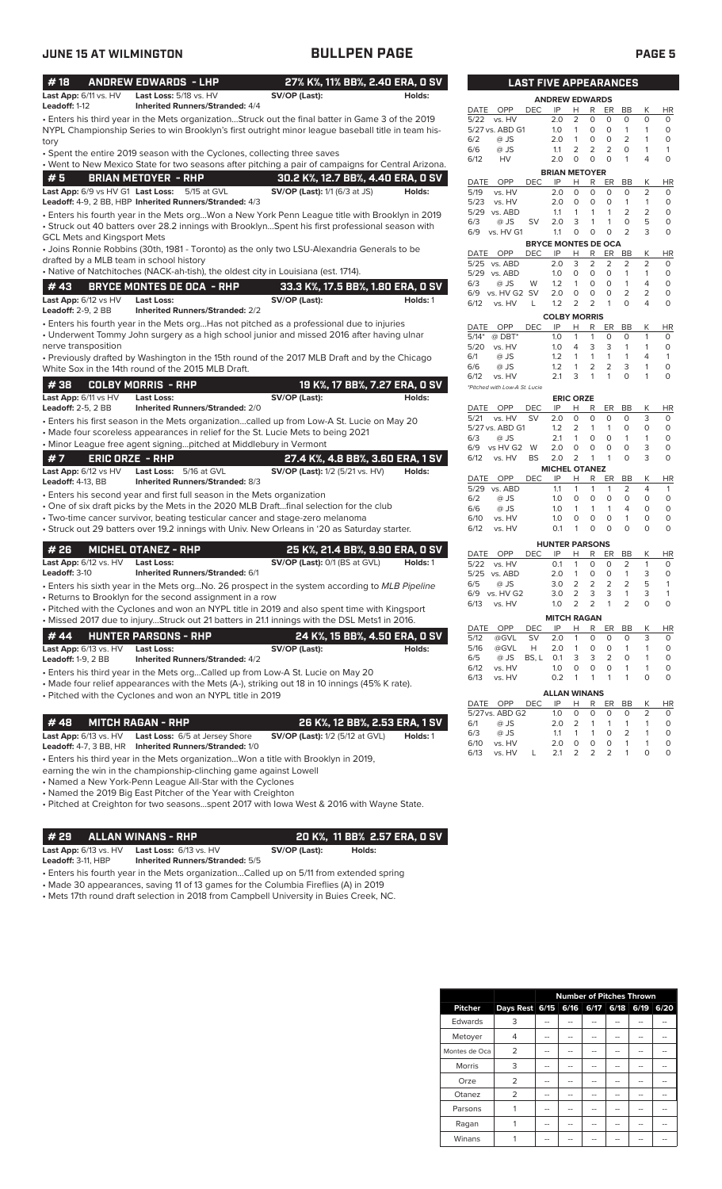| #18                                                | <b>ANDREW EDWARDS - LHP</b>                                                                                                                                                                             |                                        | 27% K%, 11% BB%, 2.40 ERA, 0 SV   |                                       | <b>LAST FIVE APPEARANCES</b> |                            |                    |                     |                     |                         |                                |                  |
|----------------------------------------------------|---------------------------------------------------------------------------------------------------------------------------------------------------------------------------------------------------------|----------------------------------------|-----------------------------------|---------------------------------------|------------------------------|----------------------------|--------------------|---------------------|---------------------|-------------------------|--------------------------------|------------------|
| Last App: 6/11 vs. HV                              | Last Loss: 5/18 vs. HV                                                                                                                                                                                  | SV/OP (Last):                          | Holds:                            |                                       |                              | <b>ANDREW EDWARDS</b>      |                    |                     |                     |                         |                                |                  |
| Leadoff: 1-12                                      | <b>Inherited Runners/Stranded: 4/4</b>                                                                                                                                                                  |                                        |                                   | DATE<br>OPP                           | <b>DEC</b>                   | IP                         | H                  | R                   | ER                  | BB                      | Κ                              | HI               |
|                                                    | · Enters his third year in the Mets organizationStruck out the final batter in Game 3 of the 2019<br>NYPL Championship Series to win Brooklyn's first outright minor league baseball title in team his- |                                        |                                   | 5/22 vs. HV<br>5/27 vs. ABD G1        |                              | 2.0<br>1.0                 | 2<br>$\mathbf{1}$  | 0<br>0              | $\circ$<br>$\circ$  | $\circ$<br>$\mathbf{1}$ | $\mathbf 0$<br>1               | 0<br>$\mathbf 0$ |
|                                                    |                                                                                                                                                                                                         |                                        |                                   | 6/2<br>@ JS                           |                              | 2.0                        | 1                  | 0                   | 0                   | $\overline{2}$          | 1                              | 0                |
| tory                                               | • Spent the entire 2019 season with the Cyclones, collecting three saves                                                                                                                                |                                        |                                   | @ JS<br>6/6                           |                              | 1.1                        | 2                  | 2                   | $\overline{2}$      | O                       | $\mathbf{1}$                   | 1                |
|                                                    | . Went to New Mexico State for two seasons after pitching a pair of campaigns for Central Arizona.                                                                                                      |                                        |                                   | 6/12<br>HV                            |                              | 2.0                        | $\circ$            | $\mathbf 0$         | $\circ$             | $\mathbf{1}$            | $\overline{4}$                 | $\Omega$         |
| #5                                                 | <b>BRIAN METOYER - RHP</b>                                                                                                                                                                              |                                        |                                   |                                       |                              | <b>BRIAN METOYER</b>       |                    |                     |                     |                         |                                |                  |
|                                                    |                                                                                                                                                                                                         | 30.2 K%, 12.7 BB%, 4.40 ERA, 0 SV      |                                   | OPP<br>DATE                           | DEC.                         | IP                         | н                  | R                   | ER                  | BB                      | Κ                              | HI               |
| Last App: 6/9 vs HV G1 Last Loss:                  | 5/15 at GVL<br>Leadoff: 4-9, 2 BB, HBP Inherited Runners/Stranded: 4/3                                                                                                                                  | SV/OP (Last): 1/1 (6/3 at JS)          | Holds:                            | 5/19<br>vs. HV<br>5/23<br>vs. HV      |                              | 2.0<br>2.0                 | $\circ$<br>$\circ$ | 0<br>0              | $\circ$<br>$\circ$  | 0<br>$\mathbf{1}$       | $\overline{2}$<br>$\mathbf{1}$ | 0<br>0           |
|                                                    | · Enters his fourth year in the Mets orgWon a New York Penn League title with Brooklyn in 2019                                                                                                          |                                        |                                   | 5/29 vs. ABD                          |                              | 1.1                        | 1                  | $\mathbf{1}$        | $\mathbf{1}$        | $\overline{2}$          | $\overline{2}$                 | 0                |
|                                                    | • Struck out 40 batters over 28.2 innings with BrooklynSpent his first professional season with                                                                                                         |                                        |                                   | 6/3<br>$@$ JS                         | SV                           | 2.0                        | 3                  | 1                   | $\mathbf{1}$        | $\mathbf 0$             | 5                              | 0                |
| GCL Mets and Kingsport Mets                        |                                                                                                                                                                                                         |                                        |                                   | 6/9 vs. HV G1                         |                              | 1.1                        | 0                  | 0                   | $\circ$             | $\overline{2}$          | 3                              | O                |
|                                                    | • Joins Ronnie Robbins (30th, 1981 - Toronto) as the only two LSU-Alexandria Generals to be                                                                                                             |                                        |                                   |                                       |                              | <b>BRYCE MONTES DE OCA</b> |                    |                     |                     |                         |                                |                  |
|                                                    | drafted by a MLB team in school history                                                                                                                                                                 |                                        |                                   | DATE OPP<br>5/25<br>vs. ABD           | DEC.                         | IP<br>2.0                  | H<br>3             | R<br>$\overline{2}$ | ER<br>2             | BB<br>$\overline{2}$    | Κ<br>2                         | HI<br>$\circ$    |
|                                                    | · Native of Natchitoches (NACK-ah-tish), the oldest city in Louisiana (est. 1714).                                                                                                                      |                                        |                                   | 5/29 vs. ABD                          |                              | 1.0                        | $\circ$            | $\circ$             | $\circ$             | 1                       | $\mathbf{1}$                   | 0                |
| # 43                                               | <b>BRYCE MONTES DE OCA - RHP</b>                                                                                                                                                                        |                                        | 33.3 K%, 17.5 BB%, 1.80 ERA, 0 SV | 6/3<br>@ JS                           | W                            | 1.2                        | $\mathbf{1}$       | $\circ$             | $\circ$             | 1                       | $\overline{4}$                 | $\Omega$         |
| Last App: 6/12 vs HV                               | <b>Last Loss:</b>                                                                                                                                                                                       |                                        |                                   | 6/9<br>vs. HV G2 SV                   |                              | 2.0                        | $\circ$            | 0                   | $\circ$             | $\overline{2}$          | $\overline{2}$                 | $\circ$          |
| <b>Leadoff: 2-9, 2 BB</b>                          | <b>Inherited Runners/Stranded: 2/2</b>                                                                                                                                                                  | SV/OP (Last):                          | Holds: 1                          | 6/12<br>vs. HV                        | L                            | 1.2                        | 2                  | 2                   | 1                   | $\circ$                 | $\overline{4}$                 | 0                |
|                                                    |                                                                                                                                                                                                         |                                        |                                   |                                       |                              | <b>COLBY MORRIS</b>        |                    |                     |                     |                         |                                |                  |
|                                                    | • Enters his fourth year in the Mets orgHas not pitched as a professional due to injuries<br>• Underwent Tommy John surgery as a high school junior and missed 2016 after having ulnar                  |                                        |                                   | OPP<br>DATE                           | <b>DEC</b>                   | IP                         | н                  | R                   | ER                  | BB                      | Κ                              | HI               |
| nerve transposition                                |                                                                                                                                                                                                         |                                        |                                   | $5/14*$<br>$@$ DBT*<br>5/20<br>vs. HV |                              | 1.0<br>1.0                 | 1<br>4             | 1<br>3              | 0<br>3              | O<br>1                  | 1<br>$\mathbf{1}$              | 0<br>0           |
|                                                    | • Previously drafted by Washington in the 15th round of the 2017 MLB Draft and by the Chicago                                                                                                           |                                        |                                   | 6/1<br>@ JS                           |                              | 1.2                        | $\mathbf{1}$       | $\mathbf{1}$        | $\mathbf{1}$        | $\mathbf{1}$            | 4                              | $\mathbf{1}$     |
|                                                    | White Sox in the 14th round of the 2015 MLB Draft.                                                                                                                                                      |                                        |                                   | 6/6<br>@ JS                           |                              | 1.2                        | $\mathbf{1}$       | 2                   | 2                   | 3                       | $\mathbf{1}$                   | $\circ$          |
|                                                    |                                                                                                                                                                                                         |                                        |                                   | 6/12<br>vs. HV                        |                              | 2.1                        | 3                  | 1                   | 1                   | 0                       | $\mathbf{1}$                   | 0                |
| #38                                                | <b>COLBY MORRIS - RHP</b>                                                                                                                                                                               |                                        | 19 K%, 17 BB%, 7.27 ERA, 0 SV     | *Pitched with Low-A St. Lucie         |                              |                            |                    |                     |                     |                         |                                |                  |
| Last App: 6/11 vs HV                               | <b>Last Loss:</b>                                                                                                                                                                                       | SV/OP (Last):                          | Holds:                            |                                       |                              |                            | <b>ERIC ORZE</b>   |                     |                     |                         |                                |                  |
| <b>Leadoff: 2-5, 2 BB</b>                          | <b>Inherited Runners/Stranded: 2/0</b>                                                                                                                                                                  |                                        |                                   | OPP<br>DATE<br>vs. HV<br>5/21         | DEC<br><b>SV</b>             | IP<br>2.0                  | н<br>$\circ$       | R<br>0              | ER<br>$\circ$       | BB<br>0                 | К<br>3                         | HI<br>$\circ$    |
|                                                    | Enters his first season in the Mets organizationcalled up from Low-A St. Lucie on May 20 •                                                                                                              |                                        |                                   | 5/27 vs. ABD G1                       |                              | 1.2                        | $\overline{2}$     | 1                   | $\mathbf{1}$        | $\circ$                 | $\circ$                        | $\circ$          |
|                                                    | • Made four scoreless appearances in relief for the St. Lucie Mets to being 2021                                                                                                                        |                                        |                                   | 6/3<br>@ JS                           |                              | 2.1                        | $\mathbf{1}$       | $\circ$             | $\circ$             | $\mathbf{1}$            | $\mathbf{1}$                   | 0                |
|                                                    | • Minor League free agent signingpitched at Middlebury in Vermont                                                                                                                                       |                                        |                                   | 6/9<br>vs HV G2 W                     |                              | 2.0                        | 0                  | 0                   | $\circ$             | 0                       | 3                              | 0                |
| #7                                                 | <b>ERIC ORZE - RHP</b>                                                                                                                                                                                  |                                        | 27.4 K%, 4.8 BB%, 3.60 ERA, 1 SV  | 6/12<br>vs. HV                        | <b>BS</b>                    | 2.0                        | $\overline{2}$     | $\mathbf{1}$        | $\mathbf{1}$        | $\circ$                 | 3                              | 0                |
| Last App: 6/12 vs HV                               | Last Loss: 5/16 at GVL                                                                                                                                                                                  | <b>SV/OP (Last):</b> 1/2 (5/21 vs. HV) | Holds:                            | OPP<br>DATE                           | <b>DEC</b>                   | <b>MICHEL OTANEZ</b><br>IP | н                  | R                   | ER                  | BB                      | Κ                              | HI               |
| Leadoff: 4-13, BB                                  | Inherited Runners/Stranded: 8/3                                                                                                                                                                         |                                        |                                   | 5/29 vs. ABD                          |                              | 1.1                        | 1                  | 1                   | 1                   | 2                       | 4                              | $\mathbf{1}$     |
|                                                    | • Enters his second year and first full season in the Mets organization                                                                                                                                 |                                        |                                   | 6/2<br>@ JS                           |                              | 1.0                        | $\circ$            | 0                   | $\circ$             | $\mathbf 0$             | $\circ$                        | $\circ$          |
|                                                    | • One of six draft picks by the Mets in the 2020 MLB Draftfinal selection for the club                                                                                                                  |                                        |                                   | 6/6<br>@ JS                           |                              | 1.0                        | 1                  | $\mathbf{1}$        | $\mathbf{1}$        | $\overline{4}$          | $\circ$                        | 0                |
|                                                    | • Two-time cancer survivor, beating testicular cancer and stage-zero melanoma                                                                                                                           |                                        |                                   | 6/10<br>vs. HV                        |                              | 1.0<br>0.1                 | 0<br>$\mathbf{1}$  | 0<br>0              | $\circ$<br>$\Omega$ | 1<br>$\mathbf 0$        | $\circ$<br>$\circ$             | 0<br>0           |
|                                                    | · Struck out 29 batters over 19.2 innings with Univ. New Orleans in '20 as Saturday starter.                                                                                                            |                                        |                                   | 6/12<br>vs. HV                        |                              |                            |                    |                     |                     |                         |                                |                  |
| #26                                                | <b>MICHEL OTANEZ - RHP</b>                                                                                                                                                                              |                                        | 25 K%, 21.4 BB%, 9.90 ERA, 0 SV   |                                       |                              | <b>HUNTER PARSONS</b>      |                    |                     |                     |                         |                                |                  |
| Last App: 6/12 vs. HV                              | <b>Last Loss:</b>                                                                                                                                                                                       | SV/OP (Last): 0/1 (BS at GVL)          | Holds: 1                          | DATE<br>OPP<br>5/22<br>vs. HV         | <b>DEC</b>                   | IP<br>0.1                  | н<br>1             | R<br>0              | ER<br>0             | BB<br>2                 | Κ<br>$\mathbf{1}$              | HI<br>0          |
| Leadoff: 3-10                                      | <b>Inherited Runners/Stranded: 6/1</b>                                                                                                                                                                  |                                        |                                   | 5/25 vs. ABD                          |                              | 2.0                        | 1                  | $\circ$             | $\circ$             | $\mathbf{1}$            | 3                              | 0                |
|                                                    | • Enters his sixth year in the Mets orgNo. 26 prospect in the system according to MLB Pipeline                                                                                                          |                                        |                                   | 6/5<br>@ JS                           |                              | 3.0                        | 2                  | 2                   | $\overline{2}$      | 2                       | 5                              | 1                |
|                                                    | • Returns to Brooklyn for the second assignment in a row                                                                                                                                                |                                        |                                   | 6/9 vs. HV G2                         |                              | 3.0                        | $\overline{2}$     | 3                   | 3                   | 1                       | 3                              | -1               |
|                                                    | • Pitched with the Cyclones and won an NYPL title in 2019 and also spent time with Kingsport                                                                                                            |                                        |                                   | 6/13<br>vs. HV                        |                              | 1.0                        | 2                  | 2                   | 1                   | 2                       | 0                              | $\circ$          |
|                                                    | • Missed 2017 due to injuryStruck out 21 batters in 21.1 innings with the DSL Mets1 in 2016.                                                                                                            |                                        |                                   |                                       |                              | <b>MITCH RAGAN</b>         |                    |                     |                     |                         |                                |                  |
| #44                                                | <b>HUNTER PARSONS - RHP</b>                                                                                                                                                                             |                                        | 24 K%, 15 BB%, 4.50 ERA, 0 SV     | OPP<br>DATE                           | DEC                          | IP                         | Н.                 | R.                  | ER                  | BB                      | Κ                              | H <sub>1</sub>   |
|                                                    |                                                                                                                                                                                                         |                                        |                                   | 5/12<br>@GVL<br>5/16<br>@GVL          | <b>SV</b><br>Н               | 2.0<br>2.0                 | 1<br>1             | 0<br>0              | 0<br>0              | 0<br>1                  | 3<br>1                         | 0<br>0           |
| Last App: 6/13 vs. HV<br><b>Leadoff: 1-9, 2 BB</b> | <b>Last Loss:</b><br><b>Inherited Runners/Stranded: 4/2</b>                                                                                                                                             | SV/OP (Last):                          | Holds:                            | 6/5<br>@ JS                           | BS, L                        | 0.1                        | 3                  | 3                   | $\overline{2}$      | 0                       | 1                              | 0                |
|                                                    |                                                                                                                                                                                                         |                                        |                                   | 6/12<br>vs. HV                        |                              | 1.0                        | 0                  | 0                   | 0                   | 1                       | 1                              | 0                |
|                                                    | • Enters his third year in the Mets orgCalled up from Low-A St. Lucie on May 20<br>• Made four relief appearances with the Mets (A-), striking out 18 in 10 innings (45% K rate).                       |                                        |                                   | 6/13<br>vs. HV                        |                              | 0.2                        | 1                  | 1                   | $\mathbf{1}$        | 1                       | 0                              | 0                |
|                                                    | • Pitched with the Cyclones and won an NYPL title in 2019                                                                                                                                               |                                        |                                   |                                       |                              | <b>ALLAN WINANS</b>        |                    |                     |                     |                         |                                |                  |
|                                                    |                                                                                                                                                                                                         |                                        |                                   | OPP<br>DATE                           | DEC                          | IP                         | Н                  | R                   | ER                  | BB                      | Κ                              | H <sub>1</sub>   |
|                                                    |                                                                                                                                                                                                         |                                        |                                   | 5/27 vs. ABD G2                       |                              | 1.0                        | 0                  | 0                   | 0                   | 0                       | 2                              | 0                |
| #48                                                | <b>MITCH RAGAN - RHP</b>                                                                                                                                                                                |                                        | 26 K%, 12 BB%, 2.53 ERA, 1 SV     | @ JS<br>6/1                           |                              | 2.0                        | $\overline{2}$     | 1                   | $\mathbf{1}$        | 1                       | $\mathbf{1}$                   | 0                |
| Last App: 6/13 vs. HV                              | Last Loss: 6/5 at Jersey Shore                                                                                                                                                                          | <b>SV/OP (Last):</b> 1/2 (5/12 at GVL) | Holds: 1                          | 6/3<br>@ JS<br>6/10<br>vs. HV         |                              | 1.1<br>2.0                 | 1<br>0             | 1<br>0              | 0<br>0              | 2<br>$\mathbf{1}$       | 1<br>$\mathbf{1}$              | 0<br>0           |
| <b>Leadoff:</b> 4-7, 3 BB, HR                      | <b>Inherited Runners/Stranded: 1/0</b>                                                                                                                                                                  |                                        |                                   | 6/13<br>vs. HV                        | L                            | 2.1                        | 2                  | 2                   | 2                   | 1                       | 0                              | 0                |
|                                                    | • Enters his third year in the Mets organizationWon a title with Brooklyn in 2019,                                                                                                                      |                                        |                                   |                                       |                              |                            |                    |                     |                     |                         |                                |                  |

earning the win in the championship-clinching game against Lowell

• Named a New York-Penn League All-Star with the Cyclones

• Named the 2019 Big East Pitcher of the Year with Creighton

• Pitched at Creighton for two seasons...spent 2017 with Iowa West & 2016 with Wayne State.

### **# 29 ALLAN WINANS - RHP 20 K%, 11 BB% 2.57 ERA, 0 SV Last App:** 6/13 vs. HV **Last Loss:** 6/13 vs. HV **SV/OP (Last): Holds:**

**Leadoff:** 3-11, HBP **Inherited Runners/Stranded:** 5/5

• Enters his fourth year in the Mets organization...Called up on 5/11 from extended spring

• Made 30 appearances, saving 11 of 13 games for the Columbia Fireflies (A) in 2019

• Mets 17th round draft selection in 2018 from Campbell University in Buies Creek, NC.

| LAST                                  |            | <b>FIVE APPEARANCES</b>    |                         |        |         |                         |        |           |
|---------------------------------------|------------|----------------------------|-------------------------|--------|---------|-------------------------|--------|-----------|
|                                       |            | <b>ANDREW EDWARDS</b>      |                         |        |         |                         |        |           |
| DATE<br>OPP                           | <b>DEC</b> | IP                         | н                       | R      | ER      | BB                      | Κ      | HR        |
| 5/22<br>vs. HV                        |            | 2.0                        | 2                       | 0      | 0       | 0                       | 0      | 0         |
| 5/27 vs. ABD G1                       |            | 1.0                        | 1                       | 0      | 0       | 1                       | 1      | 0         |
| 6/2<br>@ JS                           |            | 2.0                        | 1                       | 0      | 0       | 2                       | 1      | 0         |
| @ JS<br>6/6                           |            | 1.1                        | 2                       | 2      | 2       | 0                       | 1      | 1         |
| HV<br>6/12                            |            | 2.0                        | 0                       | 0      | 0       | 1                       | 4      | 0         |
| OPP<br>DATE                           | DEC        | <b>BRIAN METOYER</b><br>IP | Н                       | R      | ER      | BB                      | Κ      | <b>HR</b> |
| 5/19<br>vs. HV                        |            | 2.0                        | 0                       | 0      | 0       | 0                       | 2      | 0         |
| 5/23<br>vs. HV                        |            | 2.0                        | 0                       | 0      | 0       | 1                       | 1      | 0         |
| 5/29<br>vs. ABD                       |            | 1.1                        | 1                       | 1      | 1       | 2                       | 2      | 0         |
| @ JS<br>6/3                           | SV         | 2.0                        | 3                       | 1      | 1       | 0                       | 5      | 0         |
| 6/9<br>vs. HV G1                      |            | 1.1                        | 0                       | 0      | 0       | $\overline{2}$          | 3      | 0         |
|                                       |            | <b>BRYCE MONTES DE OCA</b> |                         |        |         |                         |        |           |
| DATE<br><b>OPP</b><br>5/25<br>vs. ABD | DEC        | IP<br>2.0                  | Н<br>3                  | R<br>2 | ER<br>2 | BB<br>2                 | Κ<br>2 | HR<br>0   |
|                                       |            |                            |                         |        |         |                         |        |           |
| 5/29<br>vs. ABD                       |            | 1.0                        | 0                       | 0      | 0       | 1<br>1                  | 1<br>4 | 0         |
| 6/3<br>@ JS                           | W          | 1.2                        | 1                       | 0      | 0       |                         |        | 0         |
| 6/9<br>vs. HV G2                      | SV         | 2.0                        | 0                       | 0      | 0       | 2                       | 2      | 0         |
| 6/12<br>vs. HV                        | L          | 1.2                        | 2                       | 2      | 1       | 0                       | 4      | 0         |
| OPP<br><b>DATE</b>                    | DEC        | <b>COLBY MORRIS</b><br>IP  | Н                       | R      | ER      | <b>BB</b>               | К      | <b>HR</b> |
| $5/14*$<br>$@$ DBT*                   |            | 1.0                        | 1                       | 1      | 0       | 0                       | 1      | 0         |
| 5/20<br>vs. HV                        |            | 1.0                        | 4                       | 3      | 3       | 1                       | 1      | 0         |
| 6/1<br>@ JS                           |            | 1.2                        | 1                       | 1      | 1       | 1                       | 4      | 1         |
| @ JS<br>6/6                           |            | 1.2                        | 1                       | 2      | 2       | 3                       | 1      | 0         |
| 6/12<br>vs. HV                        |            | 2.1                        | 3                       | 1      | 1       | 0                       | 1      | 0         |
| *Pitched with Low-A St. Lucie         |            |                            |                         |        |         |                         |        |           |
|                                       |            | <b>ERIC ORZE</b>           |                         |        |         |                         |        |           |
| DATE OPP                              | DEC        | IP                         | н                       | R      | ER      | BB                      | Κ      | <b>HR</b> |
| 5/21<br>vs. HV                        | SV         | 2.0                        | 0                       | 0      | 0       | 0                       | 3      | 0         |
| 5/27 vs. ABD G1                       |            | 1.2                        | 2                       | 1      | 1       | 0                       | 0      | 0         |
| @ JS<br>6/3                           |            | 2.1                        | 1                       | 0      | 0       | 1                       | 1      | 0         |
| vs HV G2<br>6/9                       | W          | 2.0                        | 0                       | 0      | 0       | 0                       | 3      | 0         |
| vs. HV<br>6/12                        | <b>BS</b>  | 2.0                        | 2                       | 1      | 1       | 0                       | 3      | 0         |
|                                       |            | <b>MICHEL OTANEZ</b>       | Н                       |        |         |                         |        |           |
| DATE<br>OPP<br>5/29<br>vs. ABD        | DEC        | IP<br>1.1                  | 1                       | R<br>1 | ER<br>1 | BB<br>2                 | Κ<br>4 | ΗR<br>1   |
|                                       |            |                            |                         |        |         |                         |        |           |
| 6/2<br>@ JS                           |            | 1.0                        | 0<br>1                  | 0<br>1 | 0<br>1  | 0<br>4                  | 0      | 0         |
| @ JS<br>6/6                           |            | 1.0                        |                         |        |         |                         | 0      | 0         |
| vs. HV<br>6/10                        |            | 1.0                        | 0                       | 0      | 0       | 1                       | 0      | 0         |
| 6/12<br>vs. HV                        |            | 0.1                        | 1                       | 0      | 0       | 0                       | 0      | 0         |
| <b>DATE</b>                           |            | <b>HUNTER PARSONS</b>      |                         |        |         |                         |        | <b>HR</b> |
| OPP<br>5/22<br>vs. HV                 | DEC        | IP<br>0.1                  | н<br>1                  | R<br>0 | ER<br>0 | BB<br>2                 | Κ<br>1 | 0         |
|                                       |            |                            |                         |        |         |                         |        |           |
| 5/25<br>vs. ABD                       |            | 2.0                        | 1                       | 0      | 0       | 1                       | 3      | 0         |
| 6/5<br>@ JS                           |            | 3.0                        | 2                       | 2      | 2       | 2                       | 5      | 1         |
| 6/9<br>vs. HV G2                      |            | 3.0                        | 2                       | 3      | 3       | 1                       | 3      | 1         |
| 6/13<br>vs. HV                        |            | 1.0                        | $\overline{\mathbf{c}}$ | 2      | 1       | 2                       | 0      | 0         |
|                                       |            | <b>MITCH RAGAN</b>         |                         |        |         |                         |        |           |
| DATE<br>OPP                           | DEC        | ΙP                         | н<br>1                  | R      | ER      | BB                      | Κ      | HR        |
| 5/12<br>@GVL                          | SV         | 2.0                        |                         | 0<br>0 | 0       | 0<br>1                  | 3<br>1 | 0         |
| 5/16<br>@GVL                          | н          | 2.0                        | 1                       |        | 0       |                         |        | 0         |
| 6/5<br>@ JS                           | BS, L      | 0.1                        | 3                       | 3      | 2       | 0                       | 1      | 0         |
| vs. HV<br>6/12<br>vs. HV              |            | 1.0<br>0.2                 | 0<br>1                  | 0<br>1 | 0<br>1  | 1<br>1                  | 1<br>0 | 0<br>0    |
| 6/13                                  |            |                            |                         |        |         |                         |        |           |
| OPP                                   |            | <b>ALLAN WINANS</b>        |                         |        |         | BB                      |        | <b>HR</b> |
| DATE<br>5/27 vs. ABD G2               | DEC        | IP<br>1.0                  | Н<br>0                  | R<br>0 | ER<br>0 | 0                       | Κ<br>2 | 0         |
| 6/1<br>@ JS                           |            | 2.0                        | $\overline{2}$          | 1      | 1       | 1                       | 1      | 0         |
| 6/3<br>@ JS                           |            | 1.1                        | 1                       | 1      | 0       | $\overline{\mathbf{c}}$ | 1      | 0         |
|                                       |            |                            |                         |        |         |                         |        |           |

|                |                | <b>Number of Pitches Thrown</b> |      |      |      |      |
|----------------|----------------|---------------------------------|------|------|------|------|
| <b>Pitcher</b> | Days Rest 6/15 | 6/16                            | 6/17 | 6/18 | 6/19 | 6/20 |
| Edwards        | 3              |                                 |      |      |      |      |
| Metoyer        | 4              |                                 |      |      |      |      |
| Montes de Oca  | $\overline{2}$ |                                 |      |      |      |      |
| <b>Morris</b>  | 3              |                                 | --   |      |      |      |
| Orze           | $\overline{2}$ |                                 |      |      |      |      |
| Otanez         | $\overline{2}$ |                                 |      |      |      |      |
| Parsons        |                |                                 |      |      |      |      |
| Ragan          |                |                                 |      |      |      |      |
| Winans         |                |                                 |      |      |      |      |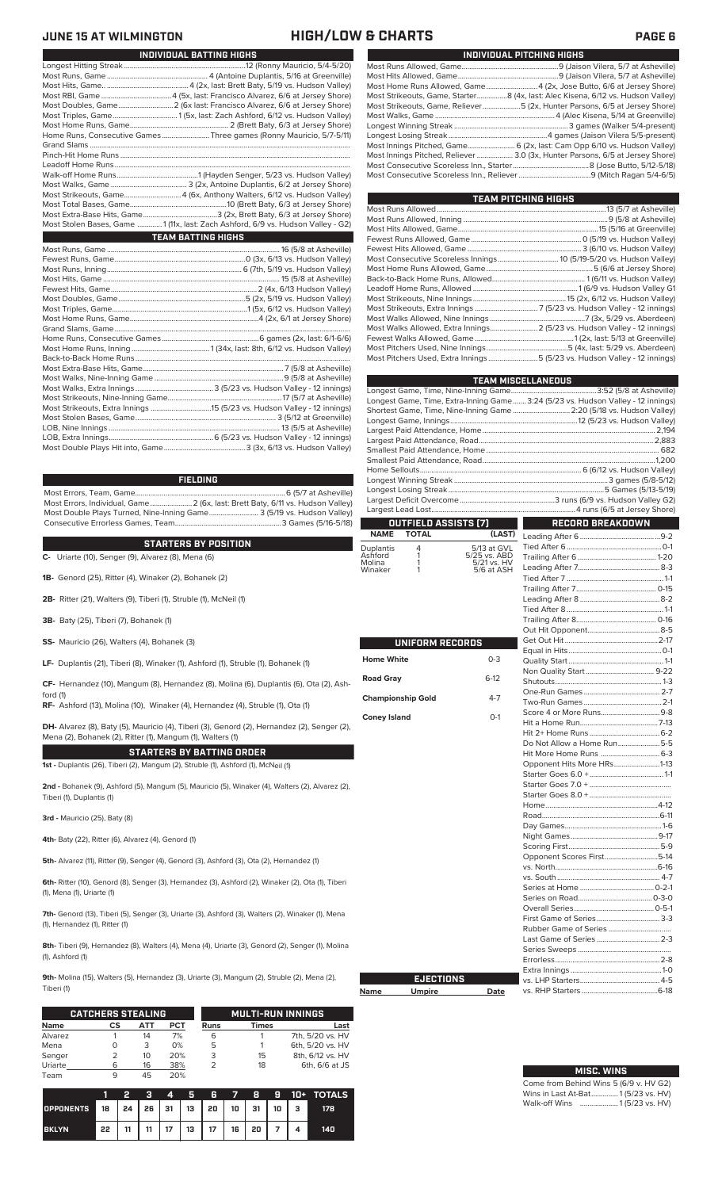### **HIGH/LOW & CHARTS PAGE 6**

| INDIVIDUAL BATTING HIGHS                                                         |
|----------------------------------------------------------------------------------|
|                                                                                  |
|                                                                                  |
|                                                                                  |
|                                                                                  |
|                                                                                  |
|                                                                                  |
|                                                                                  |
| Home Runs, Consecutive Games Three games (Ronny Mauricio, 5/7-5/11)              |
|                                                                                  |
|                                                                                  |
|                                                                                  |
|                                                                                  |
|                                                                                  |
| Most Strikeouts, Game4 (6x, Anthony Walters, 6/12 vs. Hudson Valley)             |
|                                                                                  |
|                                                                                  |
| Most Stolen Bases, Game  1 (11x, last: Zach Ashford, 6/9 vs. Hudson Valley - G2) |
| <b>TEAM BATTING HIGHS</b>                                                        |
|                                                                                  |
|                                                                                  |
|                                                                                  |
|                                                                                  |
|                                                                                  |
|                                                                                  |
|                                                                                  |
|                                                                                  |
|                                                                                  |
|                                                                                  |
|                                                                                  |
|                                                                                  |
|                                                                                  |
|                                                                                  |
|                                                                                  |
|                                                                                  |
|                                                                                  |
|                                                                                  |
|                                                                                  |
|                                                                                  |
|                                                                                  |
|                                                                                  |

### **FIELDING**

Most Errors, Team, Game...............................................................................6 (5/7 at Asheville) .<br>2 (6x, last: Brett Baty, 6/11 vs. Hudson Valley)<br>3 (5/19 vs. Hudson Valley) Most Double Plays Turned, Nine-Inning Game.......................... 3 (5/19 vs. Hudson Valley) Consecutive Errorless Games, Team.

### **STARTERS BY POSITION**

**C-** Uriarte (10), Senger (9), Alvarez (8), Mena (6)

**1B-** Genord (25), Ritter (4), Winaker (2), Bohanek (2)

**2B-** Ritter (21), Walters (9), Tiberi (1), Struble (1), McNeil (1)

- **3B-** Baty (25), Tiberi (7), Bohanek (1)
- **SS-** Mauricio (26), Walters (4), Bohanek (3)

**LF-** Duplantis (21), Tiberi (8), Winaker (1), Ashford (1), Struble (1), Bohanek (1)

**CF-** Hernandez (10), Mangum (8), Hernandez (8), Molina (6), Duplantis (6), Ota (2), Ash-

**RF-** Ashford (13), Molina (10), Winaker (4), Hernandez (4), Struble (1), Ota (1)

**DH-** Alvarez (8), Baty (5), Mauricio (4), Tiberi (3), Genord (2), Hernandez (2), Senger (2), Mena (2), Bohanek (2), Ritter (1), Mangum (1), Walters (1)

**STARTERS BY BATTING ORDER**

**1st -** Duplantis (26), Tiberi (2), Mangum (2), Struble (1), Ashford (1), McNeil (1)

**2nd -** Bohanek (9), Ashford (5), Mangum (5), Mauricio (5), Winaker (4), Walters (2), Alvarez (2), Tiberi (1), Duplantis (1)

**3rd -** Mauricio (25), Baty (8)

ford (1)

**4th-** Baty (22), Ritter (6), Alvarez (4), Genord (1)

**5th-** Alvarez (11), Ritter (9), Senger (4), Genord (3), Ashford (3), Ota (2), Hernandez (1)

**6th-** Ritter (10), Genord (8), Senger (3), Hernandez (3), Ashford (2), Winaker (2), Ota (1), Tiberi (1), Mena (1), Uriarte (1)

**7th-** Genord (13), Tiberi (5), Senger (3), Uriarte (3), Ashford (3), Walters (2), Winaker (1), Mena (1), Hernandez (1), Ritter (1)

**8th-** Tiberi (9), Hernandez (8), Walters (4), Mena (4), Uriarte (3), Genord (2), Senger (1), Molina (1), Ashford (1)

**9th-** Molina (15), Walters (5), Hernandez (3), Uriarte (3), Mangum (2), Struble (2), Mena (2), Tiberi (1)

**Name** 

|             | <b>CATCHERS STEALING</b> |     |            |      | <b>MULTI-RUN INNINGS</b> |                  |  |  |  |  |
|-------------|--------------------------|-----|------------|------|--------------------------|------------------|--|--|--|--|
| <b>Name</b> | СS                       | АТТ | <b>PCT</b> | Runs | <b>Times</b>             | Last             |  |  |  |  |
| Alvarez     |                          | 14  | 7%         | 6    |                          | 7th, 5/20 vs. HV |  |  |  |  |
| Mena        |                          | 3   | 0%         | 5    |                          | 6th, 5/20 vs. HV |  |  |  |  |
| Senger      |                          | 10  | 20%        | 3    | 15                       | 8th, 6/12 vs. HV |  |  |  |  |
| Uriarte     | 6                        | 16  | 38%        |      | 18                       | 6th, 6/6 at JS   |  |  |  |  |
| Team        | 9                        | 45  | 20%        |      |                          |                  |  |  |  |  |

|                  |    | 2  | в  | 4  | Я  | G. | - 7 | 8  | - 91 | 10+ | <b>TOTALS</b> |
|------------------|----|----|----|----|----|----|-----|----|------|-----|---------------|
| <b>OPPONENTS</b> | 18 | 24 | 26 | 31 | 13 | 20 | 10  | 31 | 10   | з   | 178           |
| <b>BKLYN</b>     | 22 | 11 | 11 | 17 | 13 | 17 | 16  | 20 |      |     | 140           |

| INDIVIDUAL PITCHING HIGHS                                                          |
|------------------------------------------------------------------------------------|
|                                                                                    |
|                                                                                    |
| Most Home Runs Allowed, Game 4 (2x, Jose Butto, 6/6 at Jersey Shore)               |
| Most Strikeouts, Game, Starter8 (4x, last: Alec Kisena, 6/12 vs. Hudson Valley)    |
| Most Strikeouts, Game, Reliever……………………5 (2x, Hunter Parsons, 6/5 at Jersey Shore) |
|                                                                                    |
|                                                                                    |
|                                                                                    |
| Most Innings Pitched, Game 6 (2x, last: Cam Opp 6/10 vs. Hudson Valley)            |
| Most Innings Pitched, Reliever  3.0 (3x, Hunter Parsons, 6/5 at Jersey Shore)      |
|                                                                                    |
|                                                                                    |
|                                                                                    |

| TEAM PITCHING HIGHS                                                       |  |
|---------------------------------------------------------------------------|--|
|                                                                           |  |
|                                                                           |  |
|                                                                           |  |
|                                                                           |  |
|                                                                           |  |
|                                                                           |  |
|                                                                           |  |
|                                                                           |  |
|                                                                           |  |
|                                                                           |  |
|                                                                           |  |
|                                                                           |  |
| Most Walks Allowed, Extra Innings 2 (5/23 vs. Hudson Valley - 12 innings) |  |
|                                                                           |  |
|                                                                           |  |
| Most Pitchers Used, Extra Innings 5 (5/23 vs. Hudson Valley - 12 innings) |  |
|                                                                           |  |

|                          |                      |                             | <b>TEAM MISCELLANEOUS</b>                                                        |  |  |  |  |
|--------------------------|----------------------|-----------------------------|----------------------------------------------------------------------------------|--|--|--|--|
|                          |                      |                             |                                                                                  |  |  |  |  |
|                          |                      |                             | Longest Game, Time, Extra-Inning Game 3:24 (5/23 vs. Hudson Valley - 12 innings) |  |  |  |  |
|                          |                      |                             | Shortest Game, Time, Nine-Inning Game  2:20 (5/18 vs. Hudson Valley)             |  |  |  |  |
|                          |                      |                             |                                                                                  |  |  |  |  |
|                          |                      |                             |                                                                                  |  |  |  |  |
|                          |                      |                             |                                                                                  |  |  |  |  |
|                          |                      |                             |                                                                                  |  |  |  |  |
|                          |                      |                             |                                                                                  |  |  |  |  |
|                          |                      |                             |                                                                                  |  |  |  |  |
|                          |                      |                             |                                                                                  |  |  |  |  |
|                          |                      |                             |                                                                                  |  |  |  |  |
|                          |                      |                             |                                                                                  |  |  |  |  |
|                          | OUTFIELD ASSISTS (7) |                             | <b>RECORD BREAKDOWN</b>                                                          |  |  |  |  |
| <b>NAME</b>              | <b>TOTAL</b>         | (LAST)                      |                                                                                  |  |  |  |  |
| Duplantis<br>Ashford     | 4<br>1               | 5/13 at GVL<br>5/25 vs. ABD |                                                                                  |  |  |  |  |
| Molina                   | 1                    | 5/21 vs. HV                 |                                                                                  |  |  |  |  |
| Winaker                  | 1                    | 5/6 at ASH                  |                                                                                  |  |  |  |  |
|                          |                      |                             |                                                                                  |  |  |  |  |
|                          |                      |                             |                                                                                  |  |  |  |  |
|                          |                      |                             |                                                                                  |  |  |  |  |
|                          |                      |                             |                                                                                  |  |  |  |  |
|                          |                      |                             |                                                                                  |  |  |  |  |
|                          | UNIFORM RECORDS      |                             |                                                                                  |  |  |  |  |
|                          |                      |                             |                                                                                  |  |  |  |  |
| <b>Home White</b>        |                      | $0 - 3$                     |                                                                                  |  |  |  |  |
|                          |                      |                             |                                                                                  |  |  |  |  |
| <b>Road Gray</b>         |                      | $6-12$                      |                                                                                  |  |  |  |  |
| <b>Championship Gold</b> |                      | $4 - 7$                     |                                                                                  |  |  |  |  |
|                          |                      |                             |                                                                                  |  |  |  |  |
| <b>Coney Island</b>      |                      | $O-1$                       |                                                                                  |  |  |  |  |
|                          |                      |                             |                                                                                  |  |  |  |  |
|                          |                      |                             |                                                                                  |  |  |  |  |
|                          |                      |                             | Do Not Allow a Home Run5-5                                                       |  |  |  |  |
|                          |                      |                             | Opponent Hits More HRs1-13                                                       |  |  |  |  |
|                          |                      |                             |                                                                                  |  |  |  |  |
|                          |                      |                             |                                                                                  |  |  |  |  |
|                          |                      |                             |                                                                                  |  |  |  |  |
|                          |                      |                             |                                                                                  |  |  |  |  |
|                          |                      |                             |                                                                                  |  |  |  |  |
|                          |                      |                             |                                                                                  |  |  |  |  |
|                          |                      |                             |                                                                                  |  |  |  |  |
|                          |                      |                             |                                                                                  |  |  |  |  |
|                          |                      |                             | Opponent Scores First5-14                                                        |  |  |  |  |
|                          |                      |                             |                                                                                  |  |  |  |  |
|                          |                      |                             |                                                                                  |  |  |  |  |
|                          |                      |                             |                                                                                  |  |  |  |  |
|                          |                      |                             |                                                                                  |  |  |  |  |
|                          |                      |                             |                                                                                  |  |  |  |  |
|                          |                      |                             |                                                                                  |  |  |  |  |
|                          |                      |                             |                                                                                  |  |  |  |  |
|                          |                      |                             |                                                                                  |  |  |  |  |
|                          |                      |                             |                                                                                  |  |  |  |  |
|                          |                      |                             |                                                                                  |  |  |  |  |
|                          | <b>EJECTIONS</b>     |                             |                                                                                  |  |  |  |  |
| Name                     | <b>Umpire</b>        | Date                        |                                                                                  |  |  |  |  |
|                          |                      |                             |                                                                                  |  |  |  |  |

| <b>MISC. WINS</b>                      |
|----------------------------------------|
| Come from Behind Wins 5 (6/9 v. HV G2) |
| Wins in Last At-Bat 1(5/23 vs. HV)     |
| Walk-off Wins  1(5/23 vs. HV)          |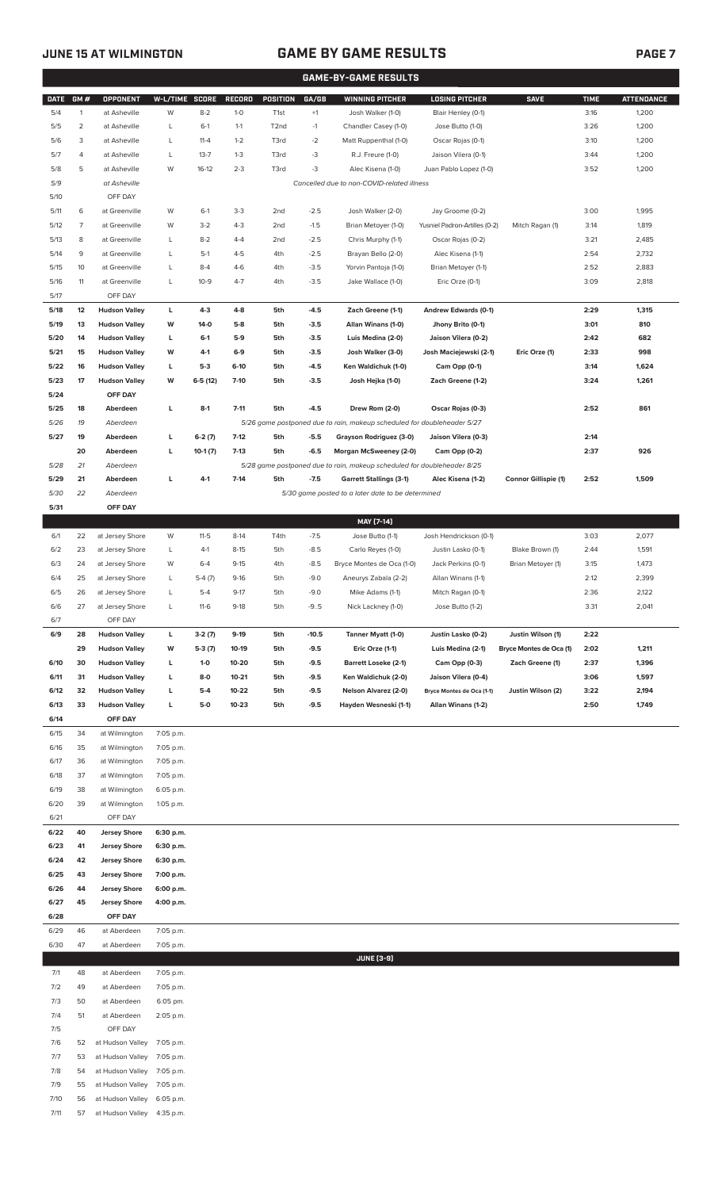7/11 57 at Hudson Valley 4:35 p.m.

# **JUNE 15 AT WILMINGTON GAME BY GAME RESULTS PAGE 7**

| <b>GAME-BY-GAME RESULTS</b> |                |                                              |                |           |                  |                   |                  |                                                                         |                               |                         |             |                   |
|-----------------------------|----------------|----------------------------------------------|----------------|-----------|------------------|-------------------|------------------|-------------------------------------------------------------------------|-------------------------------|-------------------------|-------------|-------------------|
| <b>DATE</b>                 | GM#            | <b>OPPONENT</b>                              | W-L/TIME SCORE |           | <b>RECORD</b>    | POSITION          | GA/GB            | <b>WINNING PITCHER</b>                                                  | <b>LOSING PITCHER</b>         | <b>SAVE</b>             | <b>TIME</b> | <b>ATTENDANCE</b> |
| 5/4                         | $\mathbf{1}$   | at Asheville                                 | W              | $8 - 2$   | $1-0$            | T <sub>1st</sub>  | $^{\rm +1}$      | Josh Walker (1-0)                                                       | Blair Henley (0-1)            |                         | 3:16        | 1,200             |
| 5/5                         | $\overline{2}$ | at Asheville                                 | L              | $6-1$     | $1 - 1$          | T <sub>2</sub> nd | $-1$             | Chandler Casey (1-0)                                                    | Jose Butto (1-0)              |                         | 3:26        | 1,200             |
| 5/6                         | 3              | at Asheville                                 | L              | $11 - 4$  | $1 - 2$          | T3rd              | $-2$             | Matt Ruppenthal (1-0)                                                   | Oscar Rojas (0-1)             |                         | 3:10        | 1,200             |
| 5/7                         | 4              | at Asheville                                 | L              | $13 - 7$  | $1-3$            | T3rd              | -3               | R.J. Freure (1-0)                                                       | Jaison Vilera (0-1)           |                         | 3:44        | 1,200             |
| 5/8                         | 5              | at Asheville                                 | W              | $16-12$   | $2 - 3$          | T3rd              | $-3$             | Alec Kisena (1-0)                                                       | Juan Pablo Lopez (1-0)        |                         | 3:52        | 1,200             |
| 5/9                         |                | at Asheville                                 |                |           |                  |                   |                  | Cancelled due to non-COVID-related illness                              |                               |                         |             |                   |
| 5/10                        |                | OFF DAY                                      |                |           |                  |                   |                  |                                                                         |                               |                         |             |                   |
| 5/11                        | 6              | at Greenville                                | W              | $6-1$     | $3 - 3$          | 2nd               | $-2.5$           | Josh Walker (2-0)                                                       | Jay Groome (0-2)              |                         | 3:00        | 1,995             |
| 5/12                        | 7              | at Greenville                                | W              | $3 - 2$   | $4 - 3$          | 2nd               | $-1.5$           | Brian Metoyer (1-0)                                                     | Yusniel Padron-Artilles (0-2) | Mitch Ragan (1)         | 3:14        | 1,819             |
| 5/13                        | 8              | at Greenville                                | L              | $8 - 2$   | $4 - 4$          | 2 <sub>nd</sub>   | $-2.5$           | Chris Murphy (1-1)                                                      | Oscar Rojas (0-2)             |                         | 3:21        | 2,485             |
| 5/14                        | 9              | at Greenville                                | L              | $5-1$     | $4 - 5$          | 4th               | $-2.5$           | Brayan Bello (2-0)                                                      | Alec Kisena (1-1)             |                         | 2:54        | 2,732             |
| 5/15                        | 10             | at Greenville                                | L              | $8 - 4$   | $4 - 6$          | 4th               | $-3.5$           | Yorvin Pantoja (1-0)                                                    | Brian Metoyer (1-1)           |                         | 2:52        | 2,883             |
| 5/16                        | 11             | at Greenville                                | L              | $10-9$    | $4 - 7$          | 4th               | $-3.5$           | Jake Wallace (1-0)                                                      | Eric Orze (0-1)               |                         | 3:09        | 2,818             |
| 5/17                        |                | OFF DAY                                      |                |           |                  |                   |                  |                                                                         |                               |                         |             |                   |
| 5/18                        | 12             | <b>Hudson Valley</b>                         | L              | $4 - 3$   | $4 - 8$          | 5th               | $-4.5$           | Zach Greene (1-1)                                                       | Andrew Edwards (0-1)          |                         | 2:29        | 1,315             |
| 5/19                        | 13             | <b>Hudson Valley</b>                         | W              | $14-0$    | $5-8$            | 5th               | $-3.5$           | Allan Winans (1-0)                                                      | Jhony Brito (0-1)             |                         | 3:01        | 810               |
| 5/20                        | 14             | <b>Hudson Valley</b>                         | L              | $6-1$     | $5-9$            | 5th               | $-3.5$           | Luis Medina (2-0)                                                       | Jaison Vilera (0-2)           |                         | 2:42        | 682               |
| 5/21                        | 15             | <b>Hudson Valley</b><br><b>Hudson Valley</b> | W              | 4-1       | $6-9$            | 5th               | $-3.5$           | Josh Walker (3-0)                                                       | Josh Maciejewski (2-1)        | Eric Orze (1)           | 2:33        | 998               |
| 5/22<br>5/23                | 16             | <b>Hudson Valley</b>                         | L              | $5-3$     | $6-10$<br>$7-10$ | 5th               | $-4.5$<br>$-3.5$ | Ken Waldichuk (1-0)                                                     | Cam Opp (0-1)                 |                         | 3:14        | 1,624             |
| 5/24                        | 17             | OFF DAY                                      | W              | $6-5(12)$ |                  | 5th               |                  | Josh Hejka (1-0)                                                        | Zach Greene (1-2)             |                         | 3:24        | 1,261             |
| 5/25                        | 18             | Aberdeen                                     | L              | $8-1$     | $7 - 11$         | 5th               | $-4.5$           | Drew Rom (2-0)                                                          | Oscar Rojas (0-3)             |                         | 2:52        | 861               |
| 5/26                        | 19             | Aberdeen                                     |                |           |                  |                   |                  | 5/26 game postponed due to rain, makeup scheduled for doubleheader 5/27 |                               |                         |             |                   |
| 5/27                        | 19             | Aberdeen                                     | г              | $6-2(7)$  | $7-12$           | 5th               | $-5.5$           | Grayson Rodriguez (3-0)                                                 | Jaison Vilera (0-3)           |                         | 2:14        |                   |
|                             | 20             | Aberdeen                                     | L              | $10-1(7)$ | $7-13$           | 5th               | $-6.5$           | Morgan McSweeney (2-0)                                                  | Cam Opp (0-2)                 |                         | 2:37        | 926               |
| 5/28                        | 21             | Aberdeen                                     |                |           |                  |                   |                  | 5/28 game postponed due to rain, makeup scheduled for doubleheader 8/25 |                               |                         |             |                   |
| 5/29                        | 21             | Aberdeen                                     | г              | $4-1$     | $7-14$           | 5th               | $-7.5$           | <b>Garrett Stallings (3-1)</b>                                          | Alec Kisena (1-2)             | Connor Gillispie (1)    | 2:52        | 1,509             |
| 5/30                        | 22             | Aberdeen                                     |                |           |                  |                   |                  | 5/30 game posted to a later date to be determined                       |                               |                         |             |                   |
| 5/31                        |                | OFF DAY                                      |                |           |                  |                   |                  |                                                                         |                               |                         |             |                   |
|                             |                |                                              |                |           |                  |                   |                  | MAY [7-14]                                                              |                               |                         |             |                   |
| 6/1                         | 22             | at Jersey Shore                              | W              | $11 - 5$  | $8-14$           | T4th              | $-7.5$           | Jose Butto (1-1)                                                        | Josh Hendrickson (0-1)        |                         | 3:03        | 2,077             |
| 6/2                         | 23             | at Jersey Shore                              | L              | $4-1$     | $8 - 15$         | 5th               | $-8.5$           | Carlo Reyes (1-0)                                                       | Justin Lasko (0-1)            | Blake Brown (1)         | 2:44        | 1,591             |
| 6/3                         | 24             | at Jersey Shore                              | W              | $6 - 4$   | $9-15$           | 4th               | $-8.5$           | Bryce Montes de Oca (1-0)                                               | Jack Perkins (0-1)            | Brian Metoyer (1)       | 3:15        | 1,473             |
| 6/4                         | 25             | at Jersey Shore                              | L              | $5-4(7)$  | $9-16$           | 5th               | $-9.0$           | Aneurys Zabala (2-2)                                                    | Allan Winans (1-1)            |                         | 2:12        | 2,399             |
| 6/5                         | 26             | at Jersey Shore                              | L              | $5-4$     | $9-17$           | 5th               | $-9.0$           | Mike Adams (1-1)                                                        | Mitch Ragan (0-1)             |                         | 2:36        | 2,122             |
| 6/6                         | 27             | at Jersey Shore                              | L              | $11-6$    | $9-18$           | 5th               | $-9.5$           | Nick Lackney (1-0)                                                      | Jose Butto (1-2)              |                         | 3:31        | 2,041             |
| 6/7                         |                | OFF DAY                                      |                |           |                  |                   |                  |                                                                         |                               |                         |             |                   |
| 6/9                         | 28             | <b>Hudson Valley</b>                         | L              | $3-2(7)$  | $9-19$           | 5th               | $-10.5$          | Tanner Myatt (1-0)                                                      | Justin Lasko (0-2)            | Justin Wilson (1)       | 2:22        |                   |
|                             | 29             | <b>Hudson Valley</b>                         | W              | $5-3(7)$  | 10-19            | 5th               | $-9.5$           | Eric Orze (1-1)                                                         | Luis Medina (2-1)             | Bryce Montes de Oca (1) | 2:02        | 1,211             |
| 6/10                        | 30             | <b>Hudson Valley</b>                         | L              | $1 - 0$   | 10-20            | 5th               | -9.5             | <b>Barrett Loseke (2-1)</b>                                             | Cam Opp (0-3)                 | Zach Greene (1)         | 2:37        | 1,396             |
| 6/11                        | 31             | <b>Hudson Valley</b>                         | г              | $8-0$     | $10 - 21$        | 5th               | -9.5             | Ken Waldichuk (2-0)                                                     | Jaison Vilera (0-4)           |                         | 3:06        | 1,597             |
| 6/12                        | 32             | <b>Hudson Valley</b>                         | г              | $5-4$     | $10 - 22$        | 5th               | $-9.5$           | Nelson Alvarez (2-0)                                                    | Bryce Montes de Oca (1-1)     | Justin Wilson (2)       | 3:22        | 2,194             |
| 6/13                        | 33             | <b>Hudson Valley</b>                         | г              | $5-0$     | $10 - 23$        | 5th               | $-9.5$           | Hayden Wesneski (1-1)                                                   | Allan Winans (1-2)            |                         | 2:50        | 1,749             |
| 6/14                        |                | OFF DAY                                      |                |           |                  |                   |                  |                                                                         |                               |                         |             |                   |
| 6/15                        | 34             | at Wilmington                                | 7:05 p.m.      |           |                  |                   |                  |                                                                         |                               |                         |             |                   |
| 6/16                        | 35             | at Wilmington                                | 7:05 p.m.      |           |                  |                   |                  |                                                                         |                               |                         |             |                   |
| 6/17                        | 36             | at Wilmington                                | 7:05 p.m.      |           |                  |                   |                  |                                                                         |                               |                         |             |                   |
| 6/18                        | 37             | at Wilmington                                | 7:05 p.m.      |           |                  |                   |                  |                                                                         |                               |                         |             |                   |
| 6/19                        | 38             | at Wilmington                                | 6:05 p.m.      |           |                  |                   |                  |                                                                         |                               |                         |             |                   |
| 6/20                        | 39             | at Wilmington                                | 1:05 p.m.      |           |                  |                   |                  |                                                                         |                               |                         |             |                   |
| 6/21                        |                | OFF DAY                                      |                |           |                  |                   |                  |                                                                         |                               |                         |             |                   |
| 6/22                        | 40             | <b>Jersey Shore</b>                          | 6:30 p.m.      |           |                  |                   |                  |                                                                         |                               |                         |             |                   |
| 6/23                        | 41             | <b>Jersey Shore</b>                          | 6:30 p.m.      |           |                  |                   |                  |                                                                         |                               |                         |             |                   |
| 6/24                        | 42             | <b>Jersey Shore</b>                          | 6:30 p.m.      |           |                  |                   |                  |                                                                         |                               |                         |             |                   |
| 6/25                        | 43             | <b>Jersey Shore</b>                          | 7:00 p.m.      |           |                  |                   |                  |                                                                         |                               |                         |             |                   |
| 6/26                        | 44             | <b>Jersey Shore</b>                          | 6:00 p.m.      |           |                  |                   |                  |                                                                         |                               |                         |             |                   |
| 6/27                        | 45             | <b>Jersey Shore</b>                          | 4:00 p.m.      |           |                  |                   |                  |                                                                         |                               |                         |             |                   |
| 6/28                        |                | OFF DAY                                      |                |           |                  |                   |                  |                                                                         |                               |                         |             |                   |
| 6/29                        | 46             | at Aberdeen                                  | 7:05 p.m.      |           |                  |                   |                  |                                                                         |                               |                         |             |                   |
| 6/30                        | 47             | at Aberdeen                                  | 7:05 p.m.      |           |                  |                   |                  |                                                                         |                               |                         |             |                   |
|                             |                |                                              |                |           |                  |                   |                  | <b>JUNE [3-9]</b>                                                       |                               |                         |             |                   |
| 7/1                         | 48             | at Aberdeen                                  | 7:05 p.m.      |           |                  |                   |                  |                                                                         |                               |                         |             |                   |
| 7/2                         | 49             | at Aberdeen                                  | 7:05 p.m.      |           |                  |                   |                  |                                                                         |                               |                         |             |                   |
| 7/3                         | 50             | at Aberdeen                                  | 6:05 pm.       |           |                  |                   |                  |                                                                         |                               |                         |             |                   |
| 7/4<br>7/5                  | 51             | at Aberdeen<br>OFF DAY                       | 2:05 p.m.      |           |                  |                   |                  |                                                                         |                               |                         |             |                   |
| 7/6                         | 52             | at Hudson Valley                             | 7:05 p.m.      |           |                  |                   |                  |                                                                         |                               |                         |             |                   |
| 7/7                         | 53             | at Hudson Valley                             | 7:05 p.m.      |           |                  |                   |                  |                                                                         |                               |                         |             |                   |
| 7/8                         | 54             | at Hudson Valley                             | 7:05 p.m.      |           |                  |                   |                  |                                                                         |                               |                         |             |                   |
| 7/9                         | 55             | at Hudson Valley                             | 7:05 p.m.      |           |                  |                   |                  |                                                                         |                               |                         |             |                   |
| 7/10                        | 56             | at Hudson Valley 6:05 p.m.                   |                |           |                  |                   |                  |                                                                         |                               |                         |             |                   |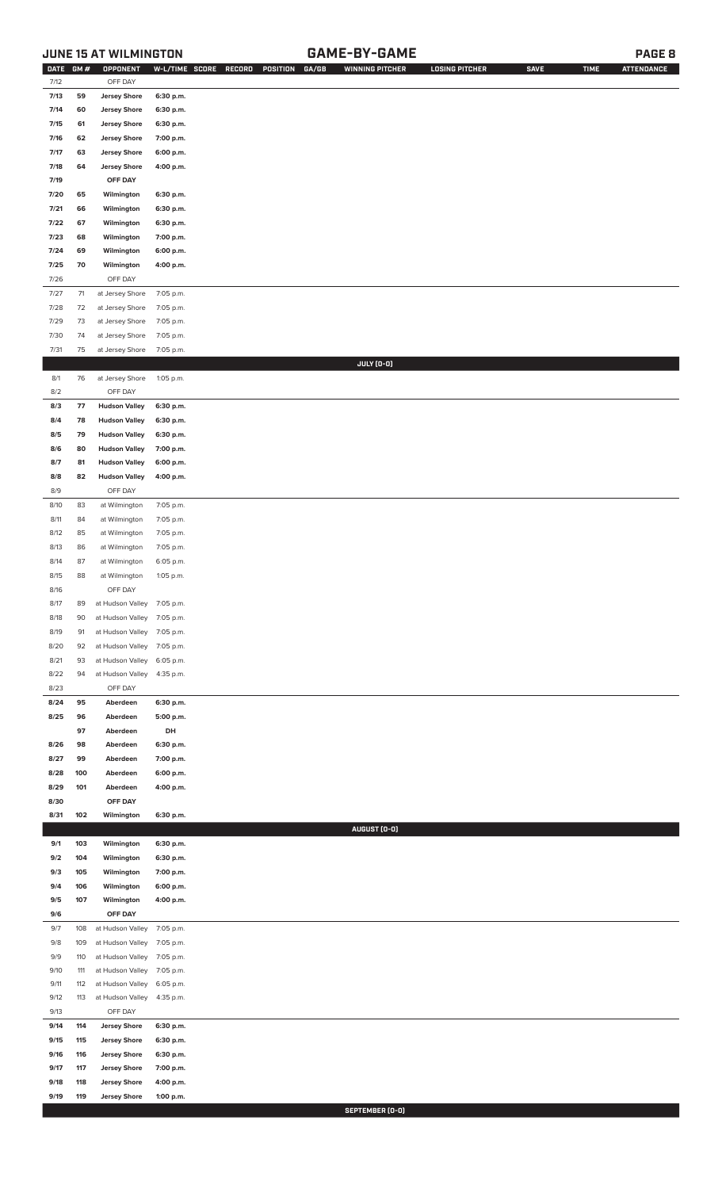## **JUNE 15 AT WILMINGTON GAME-BY-GAME PAGE 8**

| DATE         | GM#        | OPPONENT                                   | W-L/TIME SCORE         | RECORD<br>POSITION<br>GA/GB | <b>WINNING PITCHER</b> | <b>LOSING PITCHER</b> | <b>SAVE</b> | <b>TIME</b> | <b>ATTENDANCE</b> |
|--------------|------------|--------------------------------------------|------------------------|-----------------------------|------------------------|-----------------------|-------------|-------------|-------------------|
| 7/12         |            | OFF DAY                                    |                        |                             |                        |                       |             |             |                   |
| 7/13         | 59         | <b>Jersey Shore</b>                        | 6:30 p.m.              |                             |                        |                       |             |             |                   |
| 7/14         | 60         | <b>Jersey Shore</b>                        | 6:30 p.m.              |                             |                        |                       |             |             |                   |
| 7/15         | 61         | <b>Jersey Shore</b>                        | 6:30 p.m.              |                             |                        |                       |             |             |                   |
| 7/16         | 62         | <b>Jersey Shore</b>                        | 7:00 p.m.              |                             |                        |                       |             |             |                   |
| 7/17         | 63         | <b>Jersey Shore</b>                        | 6:00 p.m.              |                             |                        |                       |             |             |                   |
| 7/18         | 64         | <b>Jersey Shore</b>                        | 4:00 p.m.              |                             |                        |                       |             |             |                   |
| 7/19         |            | OFF DAY                                    |                        |                             |                        |                       |             |             |                   |
|              |            |                                            |                        |                             |                        |                       |             |             |                   |
| 7/20         | 65         | Wilmington                                 | 6:30 p.m.              |                             |                        |                       |             |             |                   |
| 7/21         | 66         | Wilmington                                 | 6:30 p.m.              |                             |                        |                       |             |             |                   |
| 7/22         | 67         | Wilmington                                 | 6:30 p.m.              |                             |                        |                       |             |             |                   |
| 7/23         | 68         | Wilmington                                 | 7:00 p.m.              |                             |                        |                       |             |             |                   |
| 7/24         | 69         | Wilmington                                 | 6:00 p.m.              |                             |                        |                       |             |             |                   |
| 7/25         | 70         | Wilmington                                 | 4:00 p.m.              |                             |                        |                       |             |             |                   |
| 7/26         |            | OFF DAY                                    |                        |                             |                        |                       |             |             |                   |
| 7/27         | $71$       | at Jersey Shore                            | 7:05 p.m.              |                             |                        |                       |             |             |                   |
| 7/28         | 72         | at Jersey Shore                            | 7:05 p.m.              |                             |                        |                       |             |             |                   |
| 7/29         | 73         | at Jersey Shore                            | 7:05 p.m.              |                             |                        |                       |             |             |                   |
| 7/30         | 74         | at Jersey Shore                            | 7:05 p.m.              |                             |                        |                       |             |             |                   |
| 7/31         | 75         | at Jersey Shore                            | 7:05 p.m.              |                             |                        |                       |             |             |                   |
|              |            |                                            |                        |                             | JULY (0-0)             |                       |             |             |                   |
| 8/1          | 76         | at Jersey Shore                            | 1:05 p.m.              |                             |                        |                       |             |             |                   |
| 8/2          |            | OFF DAY                                    |                        |                             |                        |                       |             |             |                   |
| 8/3          | 77         | <b>Hudson Valley</b>                       | 6:30 p.m.              |                             |                        |                       |             |             |                   |
| 8/4          | 78         | <b>Hudson Valley</b>                       | 6:30 p.m.              |                             |                        |                       |             |             |                   |
| 8/5          | 79         | <b>Hudson Valley</b>                       | 6:30 p.m.              |                             |                        |                       |             |             |                   |
| 8/6          | 80         | <b>Hudson Valley</b>                       | 7:00 p.m.              |                             |                        |                       |             |             |                   |
| 8/7          | 81         | <b>Hudson Valley</b>                       | 6:00 p.m.              |                             |                        |                       |             |             |                   |
| 8/8          |            |                                            |                        |                             |                        |                       |             |             |                   |
| 8/9          | 82         | <b>Hudson Valley</b><br>OFF DAY            | 4:00 p.m.              |                             |                        |                       |             |             |                   |
|              |            |                                            |                        |                             |                        |                       |             |             |                   |
| 8/10         | 83         | at Wilmington                              | 7:05 p.m.              |                             |                        |                       |             |             |                   |
| 8/11         | 84         | at Wilmington                              | 7:05 p.m.              |                             |                        |                       |             |             |                   |
| 8/12         | 85         | at Wilmington                              | 7:05 p.m.              |                             |                        |                       |             |             |                   |
| 8/13         | 86         | at Wilmington                              | 7:05 p.m.              |                             |                        |                       |             |             |                   |
| 8/14         | 87         | at Wilmington                              | 6:05 p.m.              |                             |                        |                       |             |             |                   |
| 8/15         | 88         | at Wilmington                              | 1:05 p.m.              |                             |                        |                       |             |             |                   |
| 8/16         |            | OFF DAY                                    |                        |                             |                        |                       |             |             |                   |
| 8/17         | 89         | at Hudson Valley 7:05 p.m.                 |                        |                             |                        |                       |             |             |                   |
| 8/18         | 90         | at Hudson Valley                           | 7:05 p.m.              |                             |                        |                       |             |             |                   |
| 8/19         | 91         | at Hudson Valley                           | 7:05 p.m.              |                             |                        |                       |             |             |                   |
| 8/20         | 92         | at Hudson Valley                           | 7:05 p.m.              |                             |                        |                       |             |             |                   |
| 8/21         | 93         | at Hudson Valley                           | 6:05 p.m.              |                             |                        |                       |             |             |                   |
| 8/22         | 94         | at Hudson Valley                           | 4:35 p.m.              |                             |                        |                       |             |             |                   |
| 8/23         |            | OFF DAY                                    |                        |                             |                        |                       |             |             |                   |
| 8/24         | 95         | Aberdeen                                   | 6:30 p.m.              |                             |                        |                       |             |             |                   |
| 8/25         | 96         | Aberdeen                                   | 5:00 p.m.              |                             |                        |                       |             |             |                   |
|              | 97         | Aberdeen                                   | DH                     |                             |                        |                       |             |             |                   |
| 8/26         | 98         | Aberdeen                                   | 6:30 p.m.              |                             |                        |                       |             |             |                   |
| 8/27         | 99         | Aberdeen                                   | 7:00 p.m.              |                             |                        |                       |             |             |                   |
| 8/28         | 100        | Aberdeen                                   | 6:00 p.m.              |                             |                        |                       |             |             |                   |
| 8/29         | 101        | Aberdeen                                   | 4:00 p.m.              |                             |                        |                       |             |             |                   |
| 8/30         |            | OFF DAY                                    |                        |                             |                        |                       |             |             |                   |
| 8/31         | 102        | Wilmington                                 | 6:30 p.m.              |                             |                        |                       |             |             |                   |
|              |            |                                            |                        |                             | AUGUST (0-0)           |                       |             |             |                   |
| 9/1          | 103        | Wilmington                                 | 6:30 p.m.              |                             |                        |                       |             |             |                   |
| 9/2          | 104        | Wilmington                                 | 6:30 p.m.              |                             |                        |                       |             |             |                   |
| 9/3          | 105        | Wilmington                                 | 7:00 p.m.              |                             |                        |                       |             |             |                   |
| 9/4          | 106        | Wilmington                                 | 6:00 p.m.              |                             |                        |                       |             |             |                   |
| 9/5          | 107        | Wilmington                                 | 4:00 p.m.              |                             |                        |                       |             |             |                   |
| 9/6          |            | OFF DAY                                    |                        |                             |                        |                       |             |             |                   |
| 9/7          | 108        | at Hudson Valley                           | 7:05 p.m.              |                             |                        |                       |             |             |                   |
| 9/8          | 109        | at Hudson Valley                           | 7:05 p.m.              |                             |                        |                       |             |             |                   |
| 9/9          | 110        | at Hudson Valley                           | 7:05 p.m.              |                             |                        |                       |             |             |                   |
| 9/10         | 111        | at Hudson Valley                           | 7:05 p.m.              |                             |                        |                       |             |             |                   |
| 9/11         | 112        | at Hudson Valley                           | 6:05 p.m.              |                             |                        |                       |             |             |                   |
| 9/12         | 113        | at Hudson Valley                           | 4:35 p.m.              |                             |                        |                       |             |             |                   |
| 9/13         |            | OFF DAY                                    |                        |                             |                        |                       |             |             |                   |
| 9/14         | 114        | <b>Jersey Shore</b>                        | 6:30 p.m.              |                             |                        |                       |             |             |                   |
| 9/15         | 115        |                                            | 6:30 p.m.              |                             |                        |                       |             |             |                   |
|              |            | <b>Jersey Shore</b>                        | 6:30 p.m.              |                             |                        |                       |             |             |                   |
| 9/16         | 116        | <b>Jersey Shore</b>                        |                        |                             |                        |                       |             |             |                   |
| 9/17<br>9/18 | 117        | <b>Jersey Shore</b>                        | 7:00 p.m.<br>4:00 p.m. |                             |                        |                       |             |             |                   |
| 9/19         | 118<br>119 | <b>Jersey Shore</b><br><b>Jersey Shore</b> | 1:00 p.m.              |                             |                        |                       |             |             |                   |
|              |            |                                            |                        |                             |                        |                       |             |             |                   |

**SEPTEMBER (0-0)**